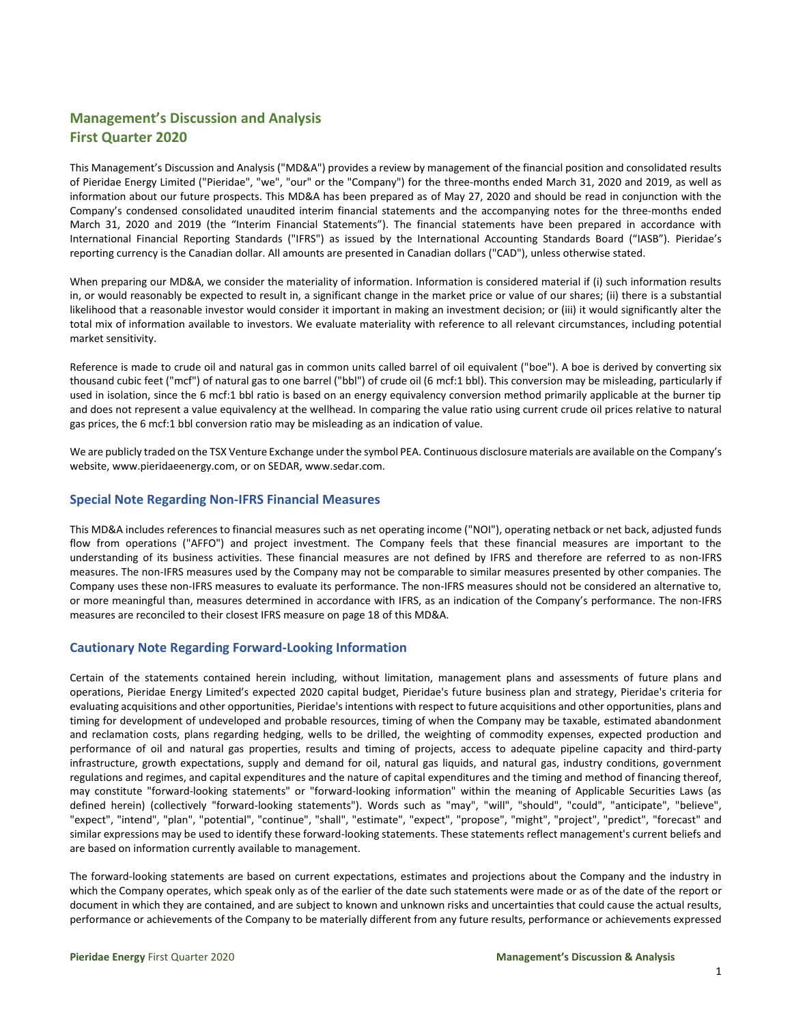# **Management's Discussion and Analysis First Quarter 2020**

This Management's Discussion and Analysis ("MD&A") provides a review by management of the financial position and consolidated results of Pieridae Energy Limited ("Pieridae", "we", "our" or the "Company") for the three-months ended March 31, 2020 and 2019, as well as information about our future prospects. This MD&A has been prepared as of May 27, 2020 and should be read in conjunction with the Company's condensed consolidated unaudited interim financial statements and the accompanying notes for the three-months ended March 31, 2020 and 2019 (the "Interim Financial Statements"). The financial statements have been prepared in accordance with International Financial Reporting Standards ("IFRS") as issued by the International Accounting Standards Board ("IASB"). Pieridae's reporting currency is the Canadian dollar. All amounts are presented in Canadian dollars ("CAD"), unless otherwise stated.

When preparing our MD&A, we consider the materiality of information. Information is considered material if (i) such information results in, or would reasonably be expected to result in, a significant change in the market price or value of our shares; (ii) there is a substantial likelihood that a reasonable investor would consider it important in making an investment decision; or (iii) it would significantly alter the total mix of information available to investors. We evaluate materiality with reference to all relevant circumstances, including potential market sensitivity.

Reference is made to crude oil and natural gas in common units called barrel of oil equivalent ("boe"). A boe is derived by converting six thousand cubic feet ("mcf") of natural gas to one barrel ("bbl") of crude oil (6 mcf:1 bbl). This conversion may be misleading, particularly if used in isolation, since the 6 mcf:1 bbl ratio is based on an energy equivalency conversion method primarily applicable at the burner tip and does not represent a value equivalency at the wellhead. In comparing the value ratio using current crude oil prices relative to natural gas prices, the 6 mcf:1 bbl conversion ratio may be misleading as an indication of value.

We are publicly traded on the TSX Venture Exchange under the symbol PEA. Continuous disclosure materials are available on the Company's website, [www.pieridaeenergy.com,](http://www.pieridaeenergy.com/) or on SEDAR, [www.sedar.com.](http://www.sedar.com/)

## **Special Note Regarding Non-IFRS Financial Measures**

This MD&A includes references to financial measures such as net operating income ("NOI"), operating netback or net back, adjusted funds flow from operations ("AFFO") and project investment. The Company feels that these financial measures are important to the understanding of its business activities. These financial measures are not defined by IFRS and therefore are referred to as non-IFRS measures. The non-IFRS measures used by the Company may not be comparable to similar measures presented by other companies. The Company uses these non-IFRS measures to evaluate its performance. The non-IFRS measures should not be considered an alternative to, or more meaningful than, measures determined in accordance with IFRS, as an indication of the Company's performance. The non-IFRS measures are reconciled to their closest IFRS measure on page 18 of this MD&A.

## **Cautionary Note Regarding Forward-Looking Information**

Certain of the statements contained herein including, without limitation, management plans and assessments of future plans and operations, Pieridae Energy Limited's expected 2020 capital budget, Pieridae's future business plan and strategy, Pieridae's criteria for evaluating acquisitions and other opportunities, Pieridae's intentions with respect to future acquisitions and other opportunities, plans and timing for development of undeveloped and probable resources, timing of when the Company may be taxable, estimated abandonment and reclamation costs, plans regarding hedging, wells to be drilled, the weighting of commodity expenses, expected production and performance of oil and natural gas properties, results and timing of projects, access to adequate pipeline capacity and third-party infrastructure, growth expectations, supply and demand for oil, natural gas liquids, and natural gas, industry conditions, government regulations and regimes, and capital expenditures and the nature of capital expenditures and the timing and method of financing thereof, may constitute "forward-looking statements" or "forward-looking information" within the meaning of Applicable Securities Laws (as defined herein) (collectively "forward-looking statements"). Words such as "may", "will", "should", "could", "anticipate", "believe", "expect", "intend", "plan", "potential", "continue", "shall", "estimate", "expect", "propose", "might", "project", "predict", "forecast" and similar expressions may be used to identify these forward-looking statements. These statements reflect management's current beliefs and are based on information currently available to management.

The forward-looking statements are based on current expectations, estimates and projections about the Company and the industry in which the Company operates, which speak only as of the earlier of the date such statements were made or as of the date of the report or document in which they are contained, and are subject to known and unknown risks and uncertainties that could cause the actual results, performance or achievements of the Company to be materially different from any future results, performance or achievements expressed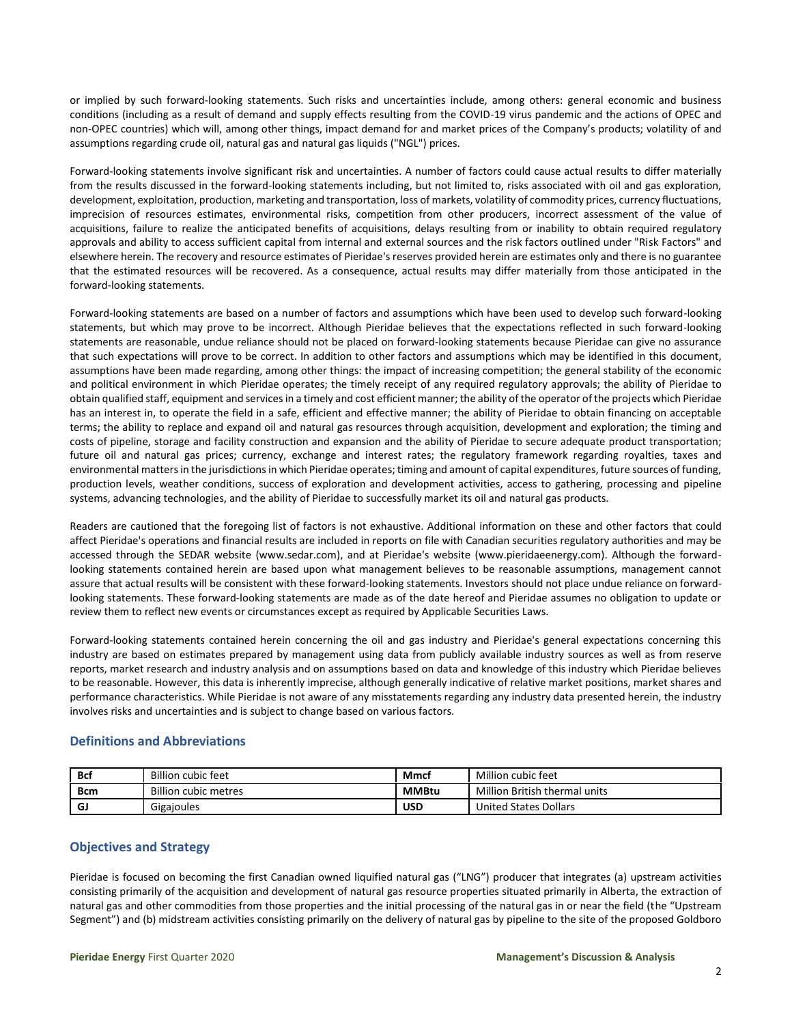or implied by such forward-looking statements. Such risks and uncertainties include, among others: general economic and business conditions (including as a result of demand and supply effects resulting from the COVID-19 virus pandemic and the actions of OPEC and non-OPEC countries) which will, among other things, impact demand for and market prices of the Company's products; volatility of and assumptions regarding crude oil, natural gas and natural gas liquids ("NGL") prices.

Forward-looking statements involve significant risk and uncertainties. A number of factors could cause actual results to differ materially from the results discussed in the forward-looking statements including, but not limited to, risks associated with oil and gas exploration, development, exploitation, production, marketing and transportation, loss of markets, volatility of commodity prices, currency fluctuations, imprecision of resources estimates, environmental risks, competition from other producers, incorrect assessment of the value of acquisitions, failure to realize the anticipated benefits of acquisitions, delays resulting from or inability to obtain required regulatory approvals and ability to access sufficient capital from internal and external sources and the risk factors outlined under "Risk Factors" and elsewhere herein. The recovery and resource estimates of Pieridae's reserves provided herein are estimates only and there is no guarantee that the estimated resources will be recovered. As a consequence, actual results may differ materially from those anticipated in the forward-looking statements.

Forward-looking statements are based on a number of factors and assumptions which have been used to develop such forward-looking statements, but which may prove to be incorrect. Although Pieridae believes that the expectations reflected in such forward-looking statements are reasonable, undue reliance should not be placed on forward-looking statements because Pieridae can give no assurance that such expectations will prove to be correct. In addition to other factors and assumptions which may be identified in this document, assumptions have been made regarding, among other things: the impact of increasing competition; the general stability of the economic and political environment in which Pieridae operates; the timely receipt of any required regulatory approvals; the ability of Pieridae to obtain qualified staff, equipment and services in a timely and cost efficient manner; the ability of the operator of the projects which Pieridae has an interest in, to operate the field in a safe, efficient and effective manner; the ability of Pieridae to obtain financing on acceptable terms; the ability to replace and expand oil and natural gas resources through acquisition, development and exploration; the timing and costs of pipeline, storage and facility construction and expansion and the ability of Pieridae to secure adequate product transportation; future oil and natural gas prices; currency, exchange and interest rates; the regulatory framework regarding royalties, taxes and environmental matters in the jurisdictions in which Pieridae operates; timing and amount of capital expenditures, future sources of funding, production levels, weather conditions, success of exploration and development activities, access to gathering, processing and pipeline systems, advancing technologies, and the ability of Pieridae to successfully market its oil and natural gas products.

Readers are cautioned that the foregoing list of factors is not exhaustive. Additional information on these and other factors that could affect Pieridae's operations and financial results are included in reports on file with Canadian securities regulatory authorities and may be accessed through the SEDAR website (www.sedar.com), and at Pieridae's website (www.pieridaeenergy.com). Although the forwardlooking statements contained herein are based upon what management believes to be reasonable assumptions, management cannot assure that actual results will be consistent with these forward-looking statements. Investors should not place undue reliance on forwardlooking statements. These forward-looking statements are made as of the date hereof and Pieridae assumes no obligation to update or review them to reflect new events or circumstances except as required by Applicable Securities Laws.

Forward-looking statements contained herein concerning the oil and gas industry and Pieridae's general expectations concerning this industry are based on estimates prepared by management using data from publicly available industry sources as well as from reserve reports, market research and industry analysis and on assumptions based on data and knowledge of this industry which Pieridae believes to be reasonable. However, this data is inherently imprecise, although generally indicative of relative market positions, market shares and performance characteristics. While Pieridae is not aware of any misstatements regarding any industry data presented herein, the industry involves risks and uncertainties and is subject to change based on various factors.

## **Definitions and Abbreviations**

| <b>Bcf</b> | <b>Billion cubic feet</b>   | Mmcl         | Million cubic feet            |
|------------|-----------------------------|--------------|-------------------------------|
| <b>Bcm</b> | <b>Billion cubic metres</b> | <b>MMBtu</b> | Million British thermal units |
| GJ         | Gigajoules                  | <b>USD</b>   | <b>United States Dollars</b>  |

## **Objectives and Strategy**

Pieridae is focused on becoming the first Canadian owned liquified natural gas ("LNG") producer that integrates (a) upstream activities consisting primarily of the acquisition and development of natural gas resource properties situated primarily in Alberta, the extraction of natural gas and other commodities from those properties and the initial processing of the natural gas in or near the field (the "Upstream Segment") and (b) midstream activities consisting primarily on the delivery of natural gas by pipeline to the site of the proposed Goldboro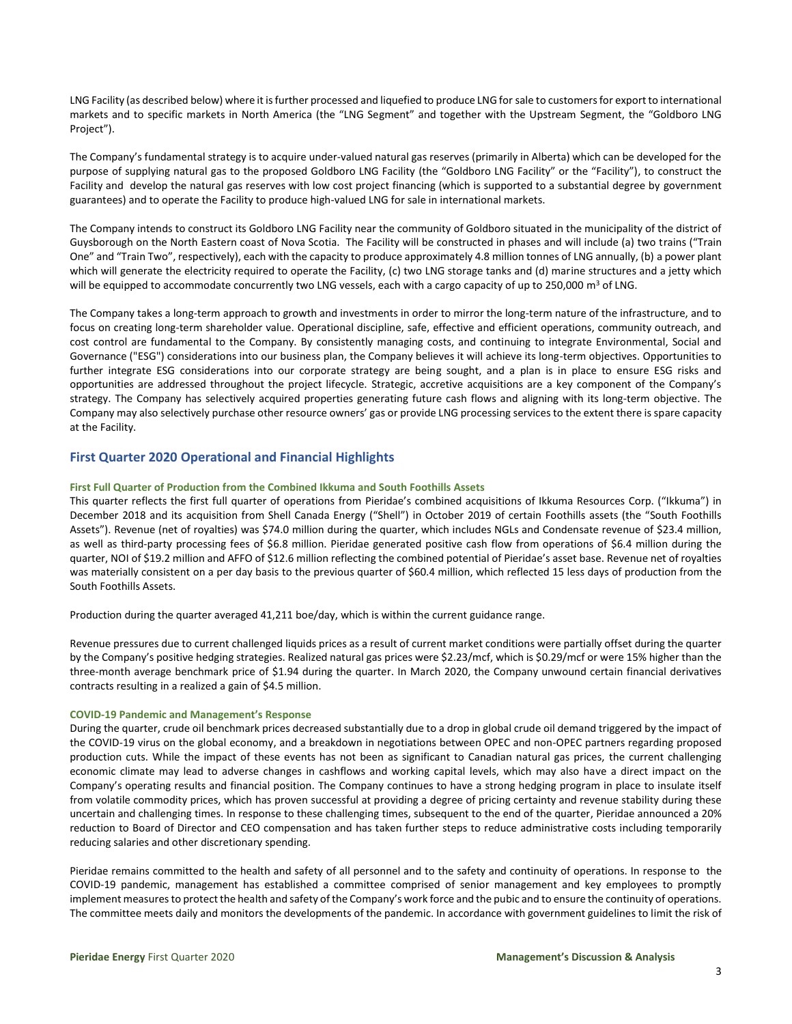LNG Facility (as described below) where it is further processed and liquefied to produce LNG for sale to customers for export to international markets and to specific markets in North America (the "LNG Segment" and together with the Upstream Segment, the "Goldboro LNG Project").

The Company's fundamental strategy is to acquire under-valued natural gas reserves (primarily in Alberta) which can be developed for the purpose of supplying natural gas to the proposed Goldboro LNG Facility (the "Goldboro LNG Facility" or the "Facility"), to construct the Facility and develop the natural gas reserves with low cost project financing (which is supported to a substantial degree by government guarantees) and to operate the Facility to produce high-valued LNG for sale in international markets.

The Company intends to construct its Goldboro LNG Facility near the community of Goldboro situated in the municipality of the district of Guysborough on the North Eastern coast of Nova Scotia. The Facility will be constructed in phases and will include (a) two trains ("Train One" and "Train Two", respectively), each with the capacity to produce approximately 4.8 million tonnes of LNG annually, (b) a power plant which will generate the electricity required to operate the Facility, (c) two LNG storage tanks and (d) marine structures and a jetty which will be equipped to accommodate concurrently two LNG vessels, each with a cargo capacity of up to 250,000 m<sup>3</sup> of LNG.

The Company takes a long-term approach to growth and investments in order to mirror the long-term nature of the infrastructure, and to focus on creating long-term shareholder value. Operational discipline, safe, effective and efficient operations, community outreach, and cost control are fundamental to the Company. By consistently managing costs, and continuing to integrate Environmental, Social and Governance ("ESG") considerations into our business plan, the Company believes it will achieve its long-term objectives. Opportunities to further integrate ESG considerations into our corporate strategy are being sought, and a plan is in place to ensure ESG risks and opportunities are addressed throughout the project lifecycle. Strategic, accretive acquisitions are a key component of the Company's strategy. The Company has selectively acquired properties generating future cash flows and aligning with its long-term objective. The Company may also selectively purchase other resource owners' gas or provide LNG processing services to the extent there is spare capacity at the Facility.

## **First Quarter 2020 Operational and Financial Highlights**

## **First Full Quarter of Production from the Combined Ikkuma and South Foothills Assets**

This quarter reflects the first full quarter of operations from Pieridae's combined acquisitions of Ikkuma Resources Corp. ("Ikkuma") in December 2018 and its acquisition from Shell Canada Energy ("Shell") in October 2019 of certain Foothills assets (the "South Foothills Assets"). Revenue (net of royalties) was \$74.0 million during the quarter, which includes NGLs and Condensate revenue of \$23.4 million, as well as third-party processing fees of \$6.8 million. Pieridae generated positive cash flow from operations of \$6.4 million during the quarter, NOI of \$19.2 million and AFFO of \$12.6 million reflecting the combined potential of Pieridae's asset base. Revenue net of royalties was materially consistent on a per day basis to the previous quarter of \$60.4 million, which reflected 15 less days of production from the South Foothills Assets.

Production during the quarter averaged 41,211 boe/day, which is within the current guidance range.

Revenue pressures due to current challenged liquids prices as a result of current market conditions were partially offset during the quarter by the Company's positive hedging strategies. Realized natural gas prices were \$2.23/mcf, which is \$0.29/mcf or were 15% higher than the three-month average benchmark price of \$1.94 during the quarter. In March 2020, the Company unwound certain financial derivatives contracts resulting in a realized a gain of \$4.5 million.

### **COVID-19 Pandemic and Management's Response**

During the quarter, crude oil benchmark prices decreased substantially due to a drop in global crude oil demand triggered by the impact of the COVID-19 virus on the global economy, and a breakdown in negotiations between OPEC and non-OPEC partners regarding proposed production cuts. While the impact of these events has not been as significant to Canadian natural gas prices, the current challenging economic climate may lead to adverse changes in cashflows and working capital levels, which may also have a direct impact on the Company's operating results and financial position. The Company continues to have a strong hedging program in place to insulate itself from volatile commodity prices, which has proven successful at providing a degree of pricing certainty and revenue stability during these uncertain and challenging times. In response to these challenging times, subsequent to the end of the quarter, Pieridae announced a 20% reduction to Board of Director and CEO compensation and has taken further steps to reduce administrative costs including temporarily reducing salaries and other discretionary spending.

Pieridae remains committed to the health and safety of all personnel and to the safety and continuity of operations. In response to the COVID-19 pandemic, management has established a committee comprised of senior management and key employees to promptly implement measures to protect the health and safety of the Company's work force and the pubic and to ensure the continuity of operations. The committee meets daily and monitors the developments of the pandemic. In accordance with government guidelines to limit the risk of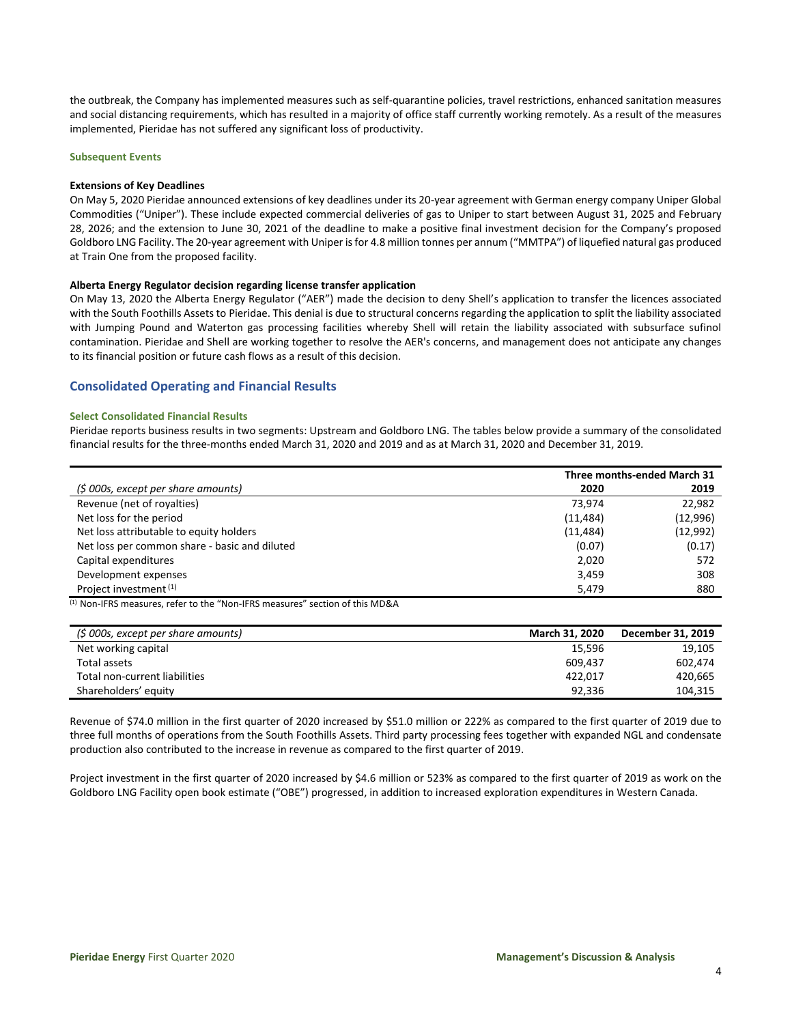the outbreak, the Company has implemented measures such as self-quarantine policies, travel restrictions, enhanced sanitation measures and social distancing requirements, which has resulted in a majority of office staff currently working remotely. As a result of the measures implemented, Pieridae has not suffered any significant loss of productivity.

#### **Subsequent Events**

#### **Extensions of Key Deadlines**

On May 5, 2020 Pieridae announced extensions of key deadlines under its 20-year agreement with German energy company Uniper Global Commodities ("Uniper"). These include expected commercial deliveries of gas to Uniper to start between August 31, 2025 and February 28, 2026; and the extension to June 30, 2021 of the deadline to make a positive final investment decision for the Company's proposed Goldboro LNG Facility. The 20-year agreement with Uniper is for 4.8 million tonnes per annum ("MMTPA") of liquefied natural gas produced at Train One from the proposed facility.

#### **Alberta Energy Regulator decision regarding license transfer application**

On May 13, 2020 the Alberta Energy Regulator ("AER") made the decision to deny Shell's application to transfer the licences associated with the South Foothills Assets to Pieridae. This denial is due to structural concerns regarding the application to split the liability associated with Jumping Pound and Waterton gas processing facilities whereby Shell will retain the liability associated with subsurface sufinol contamination. Pieridae and Shell are working together to resolve the AER's concerns, and management does not anticipate any changes to its financial position or future cash flows as a result of this decision.

## **Consolidated Operating and Financial Results**

#### **Select Consolidated Financial Results**

Pieridae reports business results in two segments: Upstream and Goldboro LNG. The tables below provide a summary of the consolidated financial results for the three-months ended March 31, 2020 and 2019 and as at March 31, 2020 and December 31, 2019.

|                                               |           | Three months-ended March 31 |
|-----------------------------------------------|-----------|-----------------------------|
| (\$ 000s, except per share amounts)           | 2020      | 2019                        |
| Revenue (net of royalties)                    | 73.974    | 22,982                      |
| Net loss for the period                       | (11, 484) | (12,996)                    |
| Net loss attributable to equity holders       | (11, 484) | (12, 992)                   |
| Net loss per common share - basic and diluted | (0.07)    | (0.17)                      |
| Capital expenditures                          | 2,020     | 572                         |
| Development expenses                          | 3,459     | 308                         |
| Project investment (1)                        | 5.479     | 880                         |

(1) Non-IFRS measures, refer to the "Non-IFRS measures" section of this MD&A

| (\$ 000s, except per share amounts) | <b>March 31, 2020</b> | December 31, 2019 |
|-------------------------------------|-----------------------|-------------------|
| Net working capital                 | 15,596                | 19,105            |
| Total assets                        | 609.437               | 602.474           |
| Total non-current liabilities       | 422.017               | 420.665           |
| Shareholders' equity                | 92.336                | 104,315           |

Revenue of \$74.0 million in the first quarter of 2020 increased by \$51.0 million or 222% as compared to the first quarter of 2019 due to three full months of operations from the South Foothills Assets. Third party processing fees together with expanded NGL and condensate production also contributed to the increase in revenue as compared to the first quarter of 2019.

Project investment in the first quarter of 2020 increased by \$4.6 million or 523% as compared to the first quarter of 2019 as work on the Goldboro LNG Facility open book estimate ("OBE") progressed, in addition to increased exploration expenditures in Western Canada.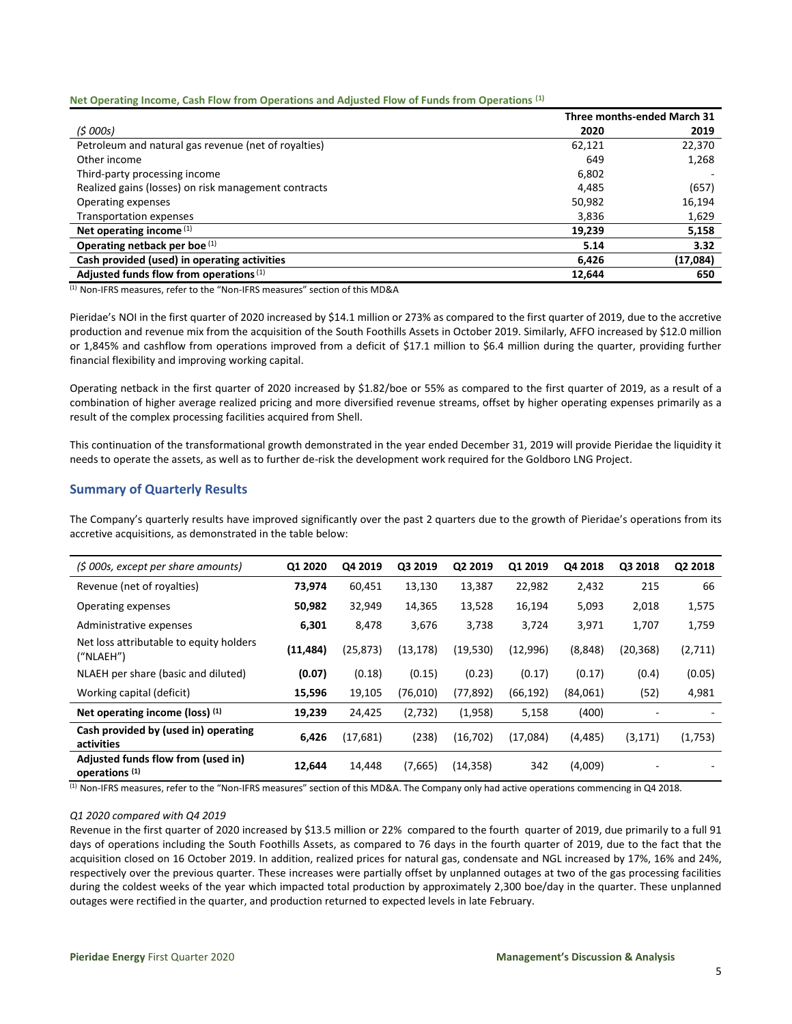### **Net Operating Income, Cash Flow from Operations and Adjusted Flow of Funds from Operations (1)**

|                                                      |        | Three months-ended March 31 |
|------------------------------------------------------|--------|-----------------------------|
| (5000s)                                              | 2020   | 2019                        |
| Petroleum and natural gas revenue (net of royalties) | 62,121 | 22,370                      |
| Other income                                         | 649    | 1,268                       |
| Third-party processing income                        | 6,802  |                             |
| Realized gains (losses) on risk management contracts | 4,485  | (657)                       |
| Operating expenses                                   | 50,982 | 16,194                      |
| Transportation expenses                              | 3,836  | 1,629                       |
| Net operating income $(1)$                           | 19,239 | 5,158                       |
| Operating netback per boe (1)                        | 5.14   | 3.32                        |
| Cash provided (used) in operating activities         | 6,426  | (17,084)                    |
| Adjusted funds flow from operations <sup>(1)</sup>   | 12,644 | 650                         |

(1) Non-IFRS measures, refer to the "Non-IFRS measures" section of this MD&A

Pieridae's NOI in the first quarter of 2020 increased by \$14.1 million or 273% as compared to the first quarter of 2019, due to the accretive production and revenue mix from the acquisition of the South Foothills Assets in October 2019. Similarly, AFFO increased by \$12.0 million or 1,845% and cashflow from operations improved from a deficit of \$17.1 million to \$6.4 million during the quarter, providing further financial flexibility and improving working capital.

Operating netback in the first quarter of 2020 increased by \$1.82/boe or 55% as compared to the first quarter of 2019, as a result of a combination of higher average realized pricing and more diversified revenue streams, offset by higher operating expenses primarily as a result of the complex processing facilities acquired from Shell.

This continuation of the transformational growth demonstrated in the year ended December 31, 2019 will provide Pieridae the liquidity it needs to operate the assets, as well as to further de-risk the development work required for the Goldboro LNG Project.

## **Summary of Quarterly Results**

The Company's quarterly results have improved significantly over the past 2 quarters due to the growth of Pieridae's operations from its accretive acquisitions, as demonstrated in the table below:

| (\$ 000s, except per share amounts)                             | Q1 2020   | Q4 2019   | Q3 2019   | Q2 2019   | Q1 2019   | Q4 2018  | Q3 2018  | Q2 2018 |
|-----------------------------------------------------------------|-----------|-----------|-----------|-----------|-----------|----------|----------|---------|
| Revenue (net of royalties)                                      | 73,974    | 60,451    | 13,130    | 13,387    | 22,982    | 2,432    | 215      | 66      |
| Operating expenses                                              | 50,982    | 32,949    | 14,365    | 13,528    | 16,194    | 5,093    | 2,018    | 1,575   |
| Administrative expenses                                         | 6,301     | 8,478     | 3,676     | 3,738     | 3,724     | 3,971    | 1,707    | 1,759   |
| Net loss attributable to equity holders<br>('NLAEH")            | (11, 484) | (25, 873) | (13, 178) | (19,530)  | (12,996)  | (8,848)  | (20,368) | (2,711) |
| NLAEH per share (basic and diluted)                             | (0.07)    | (0.18)    | (0.15)    | (0.23)    | (0.17)    | (0.17)   | (0.4)    | (0.05)  |
| Working capital (deficit)                                       | 15,596    | 19,105    | (76,010)  | (77, 892) | (66, 192) | (84,061) | (52)     | 4,981   |
| Net operating income (loss) (1)                                 | 19,239    | 24,425    | (2,732)   | (1,958)   | 5,158     | (400)    |          |         |
| Cash provided by (used in) operating<br>activities              | 6,426     | (17, 681) | (238)     | (16,702)  | (17,084)  | (4, 485) | (3, 171) | (1,753) |
| Adjusted funds flow from (used in)<br>operations <sup>(1)</sup> | 12,644    | 14,448    | (7,665)   | (14, 358) | 342       | (4,009)  |          |         |

 $<sup>(1)</sup>$  Non-IFRS measures, refer to the "Non-IFRS measures" section of this MD&A. The Company only had active operations commencing in Q4 2018.</sup>

### *Q1 2020 compared with Q4 2019*

Revenue in the first quarter of 2020 increased by \$13.5 million or 22% compared to the fourth quarter of 2019, due primarily to a full 91 days of operations including the South Foothills Assets, as compared to 76 days in the fourth quarter of 2019, due to the fact that the acquisition closed on 16 October 2019. In addition, realized prices for natural gas, condensate and NGL increased by 17%, 16% and 24%, respectively over the previous quarter. These increases were partially offset by unplanned outages at two of the gas processing facilities during the coldest weeks of the year which impacted total production by approximately 2,300 boe/day in the quarter. These unplanned outages were rectified in the quarter, and production returned to expected levels in late February.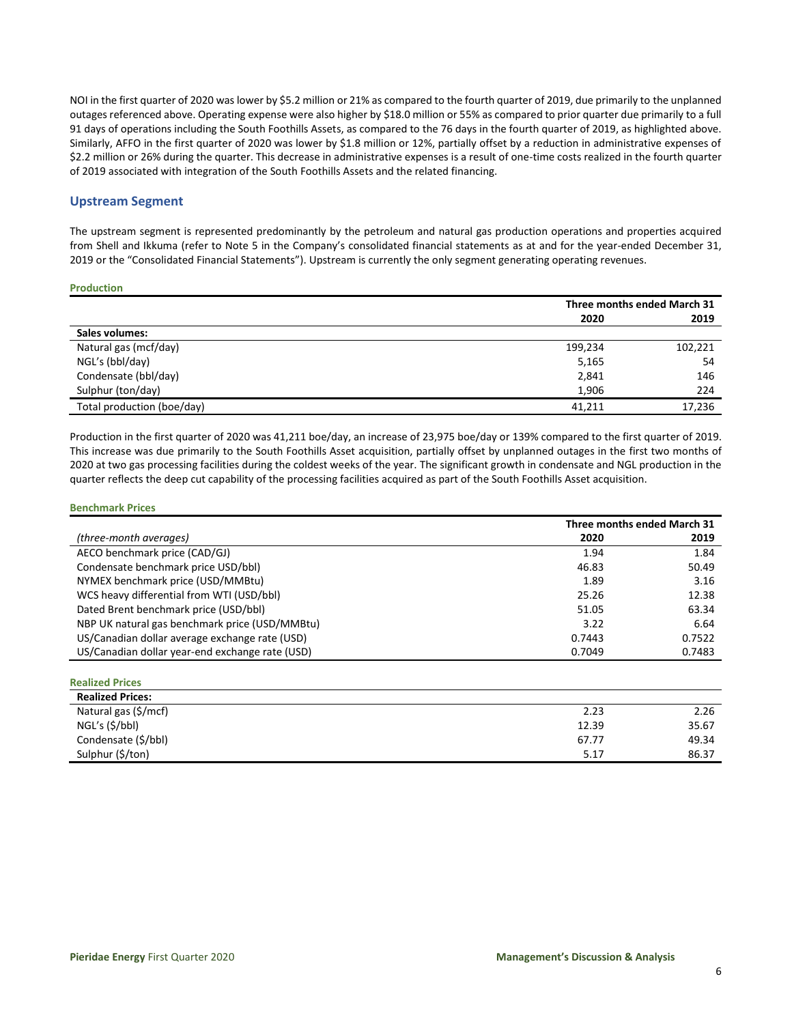NOI in the first quarter of 2020 was lower by \$5.2 million or 21% as compared to the fourth quarter of 2019, due primarily to the unplanned outages referenced above. Operating expense were also higher by \$18.0 million or 55% as compared to prior quarter due primarily to a full 91 days of operations including the South Foothills Assets, as compared to the 76 days in the fourth quarter of 2019, as highlighted above. Similarly, AFFO in the first quarter of 2020 was lower by \$1.8 million or 12%, partially offset by a reduction in administrative expenses of \$2.2 million or 26% during the quarter. This decrease in administrative expenses is a result of one-time costs realized in the fourth quarter of 2019 associated with integration of the South Foothills Assets and the related financing.

## **Upstream Segment**

The upstream segment is represented predominantly by the petroleum and natural gas production operations and properties acquired from Shell and Ikkuma (refer to Note 5 in the Company's consolidated financial statements as at and for the year-ended December 31, 2019 or the "Consolidated Financial Statements"). Upstream is currently the only segment generating operating revenues.

### **Production**

|                            | Three months ended March 31 |         |
|----------------------------|-----------------------------|---------|
|                            | 2020                        | 2019    |
| Sales volumes:             |                             |         |
| Natural gas (mcf/day)      | 199,234                     | 102,221 |
| NGL's (bbl/day)            | 5,165                       | 54      |
| Condensate (bbl/day)       | 2,841                       | 146     |
| Sulphur (ton/day)          | 1.906                       | 224     |
| Total production (boe/day) | 41.211                      | 17.236  |

Production in the first quarter of 2020 was 41,211 boe/day, an increase of 23,975 boe/day or 139% compared to the first quarter of 2019. This increase was due primarily to the South Foothills Asset acquisition, partially offset by unplanned outages in the first two months of 2020 at two gas processing facilities during the coldest weeks of the year. The significant growth in condensate and NGL production in the quarter reflects the deep cut capability of the processing facilities acquired as part of the South Foothills Asset acquisition.

### **Benchmark Prices**

**Realized Prices**

|                                                 |        | Three months ended March 31 |
|-------------------------------------------------|--------|-----------------------------|
| (three-month averages)                          | 2020   | 2019                        |
| AECO benchmark price (CAD/GJ)                   | 1.94   | 1.84                        |
| Condensate benchmark price USD/bbl)             | 46.83  | 50.49                       |
| NYMEX benchmark price (USD/MMBtu)               | 1.89   | 3.16                        |
| WCS heavy differential from WTI (USD/bbl)       | 25.26  | 12.38                       |
| Dated Brent benchmark price (USD/bbl)           | 51.05  | 63.34                       |
| NBP UK natural gas benchmark price (USD/MMBtu)  | 3.22   | 6.64                        |
| US/Canadian dollar average exchange rate (USD)  | 0.7443 | 0.7522                      |
| US/Canadian dollar year-end exchange rate (USD) | 0.7049 | 0.7483                      |

| <b>Realized Prices:</b> |       |       |
|-------------------------|-------|-------|
| Natural gas (\$/mcf)    | 2.23  | 2.26  |
| NGL's (\$/bbl)          | 12.39 | 35.67 |
| Condensate (\$/bbl)     | 67.77 | 49.34 |
| Sulphur (\$/ton)        | 5.17  | 86.37 |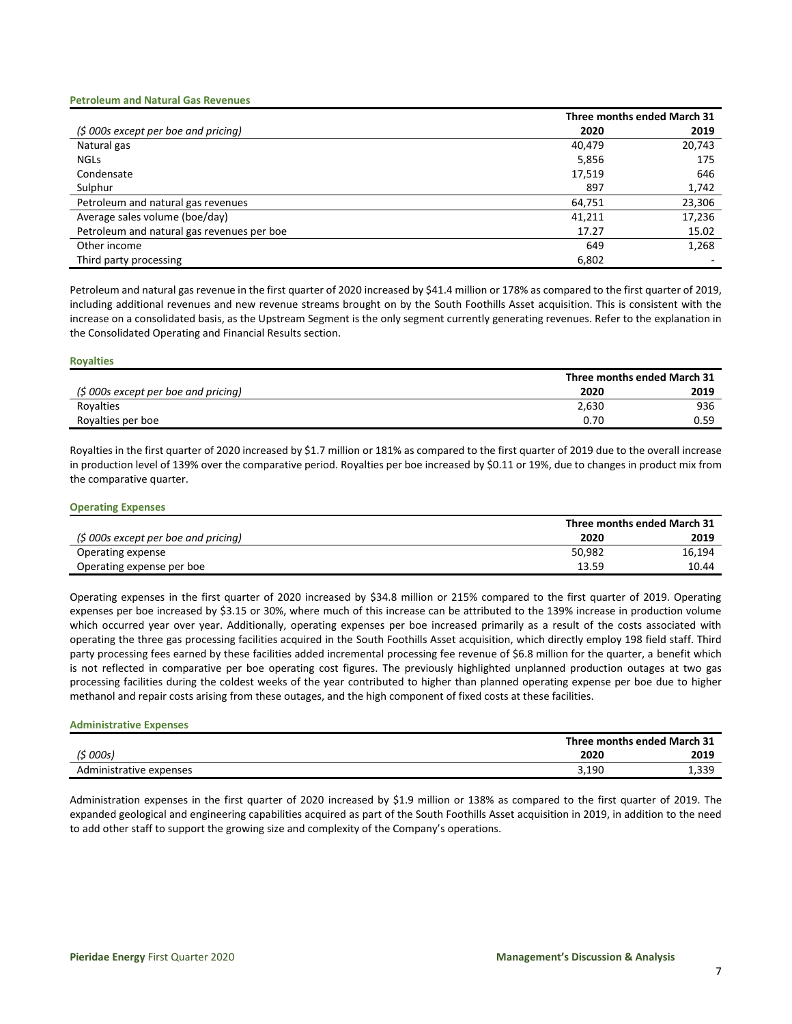#### **Petroleum and Natural Gas Revenues**

|                                            |        | Three months ended March 31 |
|--------------------------------------------|--------|-----------------------------|
| $(5000s$ except per boe and pricing)       | 2020   | 2019                        |
| Natural gas                                | 40.479 | 20,743                      |
| <b>NGLS</b>                                | 5,856  | 175                         |
| Condensate                                 | 17,519 | 646                         |
| Sulphur                                    | 897    | 1,742                       |
| Petroleum and natural gas revenues         | 64,751 | 23,306                      |
| Average sales volume (boe/day)             | 41,211 | 17,236                      |
| Petroleum and natural gas revenues per boe | 17.27  | 15.02                       |
| Other income                               | 649    | 1,268                       |
| Third party processing                     | 6,802  |                             |

Petroleum and natural gas revenue in the first quarter of 2020 increased by \$41.4 million or 178% as compared to the first quarter of 2019, including additional revenues and new revenue streams brought on by the South Foothills Asset acquisition. This is consistent with the increase on a consolidated basis, as the Upstream Segment is the only segment currently generating revenues. Refer to the explanation in the Consolidated Operating and Financial Results section.

#### **Royalties**

|                                      |       | Three months ended March 31 |  |  |
|--------------------------------------|-------|-----------------------------|--|--|
| (\$ 000s except per boe and pricing) | 2020  | 2019                        |  |  |
| Royalties                            | 2,630 | 936                         |  |  |
| Royalties per boe                    | 0.70  | 0.59                        |  |  |
|                                      |       |                             |  |  |

Royalties in the first quarter of 2020 increased by \$1.7 million or 181% as compared to the first quarter of 2019 due to the overall increase in production level of 139% over the comparative period. Royalties per boe increased by \$0.11 or 19%, due to changes in product mix from the comparative quarter.

#### **Operating Expenses**

|                                      | Three months ended March 31 |        |
|--------------------------------------|-----------------------------|--------|
| (\$ 000s except per boe and pricing) | 2020                        | 2019   |
| Operating expense                    | 50,982                      | 16,194 |
| Operating expense per boe            | 13.59                       | 10.44  |

Operating expenses in the first quarter of 2020 increased by \$34.8 million or 215% compared to the first quarter of 2019. Operating expenses per boe increased by \$3.15 or 30%, where much of this increase can be attributed to the 139% increase in production volume which occurred year over year. Additionally, operating expenses per boe increased primarily as a result of the costs associated with operating the three gas processing facilities acquired in the South Foothills Asset acquisition, which directly employ 198 field staff. Third party processing fees earned by these facilities added incremental processing fee revenue of \$6.8 million for the quarter, a benefit which is not reflected in comparative per boe operating cost figures. The previously highlighted unplanned production outages at two gas processing facilities during the coldest weeks of the year contributed to higher than planned operating expense per boe due to higher methanol and repair costs arising from these outages, and the high component of fixed costs at these facilities.

## **Administrative Expenses**

|                         |       | Three months ended March 31 |  |  |
|-------------------------|-------|-----------------------------|--|--|
| '\$ 000s)               | 2020  | 2019                        |  |  |
| Administrative expenses | 3.190 | 1,339                       |  |  |

Administration expenses in the first quarter of 2020 increased by \$1.9 million or 138% as compared to the first quarter of 2019. The expanded geological and engineering capabilities acquired as part of the South Foothills Asset acquisition in 2019, in addition to the need to add other staff to support the growing size and complexity of the Company's operations.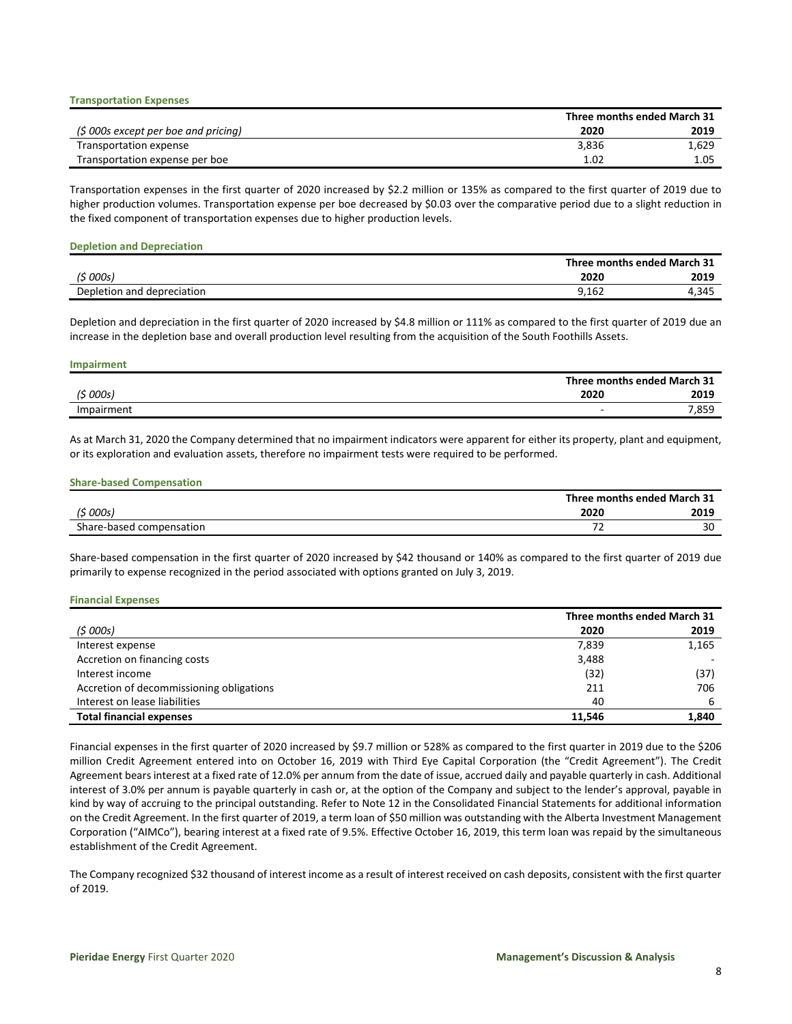|                                      |       | Three months ended March 31 |
|--------------------------------------|-------|-----------------------------|
| (\$ 000s except per boe and pricing) | 2020  | 2019                        |
| Transportation expense               | 3.836 | 1,629                       |
| Transportation expense per boe       | 1.02  | 1.05                        |

Transportation expenses in the first quarter of 2020 increased by \$2.2 million or 135% as compared to the first quarter of 2019 due to higher production volumes. Transportation expense per boe decreased by \$0.03 over the comparative period due to a slight reduction in the fixed component of transportation expenses due to higher production levels.

#### **Depletion and Depreciation**

**Transportation Expenses**

|                            |       | Three months ended March 31 |
|----------------------------|-------|-----------------------------|
| (\$ 000s)                  | 2020  | 2019                        |
| Depletion and depreciation | 9,162 | 4.345                       |

Depletion and depreciation in the first quarter of 2020 increased by \$4.8 million or 111% as compared to the first quarter of 2019 due an increase in the depletion base and overall production level resulting from the acquisition of the South Foothills Assets.

| <b>Impairment</b> |                             |
|-------------------|-----------------------------|
|                   | Three months ended March 31 |
| (5000s)           | 2020<br>2019                |
| Impairment        | 7,859                       |

As at March 31, 2020 the Company determined that no impairment indicators were apparent for either its property, plant and equipment, or its exploration and evaluation assets, therefore no impairment tests were required to be performed.

#### **Share-based Compensation**

|                          |      | Three months ended March 31 |
|--------------------------|------|-----------------------------|
| '\$ 000s)                | 2020 | 2019                        |
| Share-based compensation | --   | 30                          |

Share-based compensation in the first quarter of 2020 increased by \$42 thousand or 140% as compared to the first quarter of 2019 due primarily to expense recognized in the period associated with options granted on July 3, 2019.

#### **Financial Expenses**

|                                          |        | Three months ended March 31 |
|------------------------------------------|--------|-----------------------------|
| (5000s)                                  | 2020   | 2019                        |
| Interest expense                         | 7,839  | 1,165                       |
| Accretion on financing costs             | 3,488  |                             |
| Interest income                          | (32)   | (37)                        |
| Accretion of decommissioning obligations | 211    | 706                         |
| Interest on lease liabilities            | 40     | 6                           |
| <b>Total financial expenses</b>          | 11.546 | 1,840                       |

Financial expenses in the first quarter of 2020 increased by \$9.7 million or 528% as compared to the first quarter in 2019 due to the \$206 million Credit Agreement entered into on October 16, 2019 with Third Eye Capital Corporation (the "Credit Agreement"). The Credit Agreement bears interest at a fixed rate of 12.0% per annum from the date of issue, accrued daily and payable quarterly in cash. Additional interest of 3.0% per annum is payable quarterly in cash or, at the option of the Company and subject to the lender's approval, payable in kind by way of accruing to the principal outstanding. Refer to Note 12 in the Consolidated Financial Statements for additional information on the Credit Agreement. In the first quarter of 2019, a term loan of \$50 million was outstanding with the Alberta Investment Management Corporation ("AIMCo"), bearing interest at a fixed rate of 9.5%. Effective October 16, 2019, this term loan was repaid by the simultaneous establishment of the Credit Agreement.

The Company recognized \$32 thousand of interest income as a result of interest received on cash deposits, consistent with the first quarter of 2019.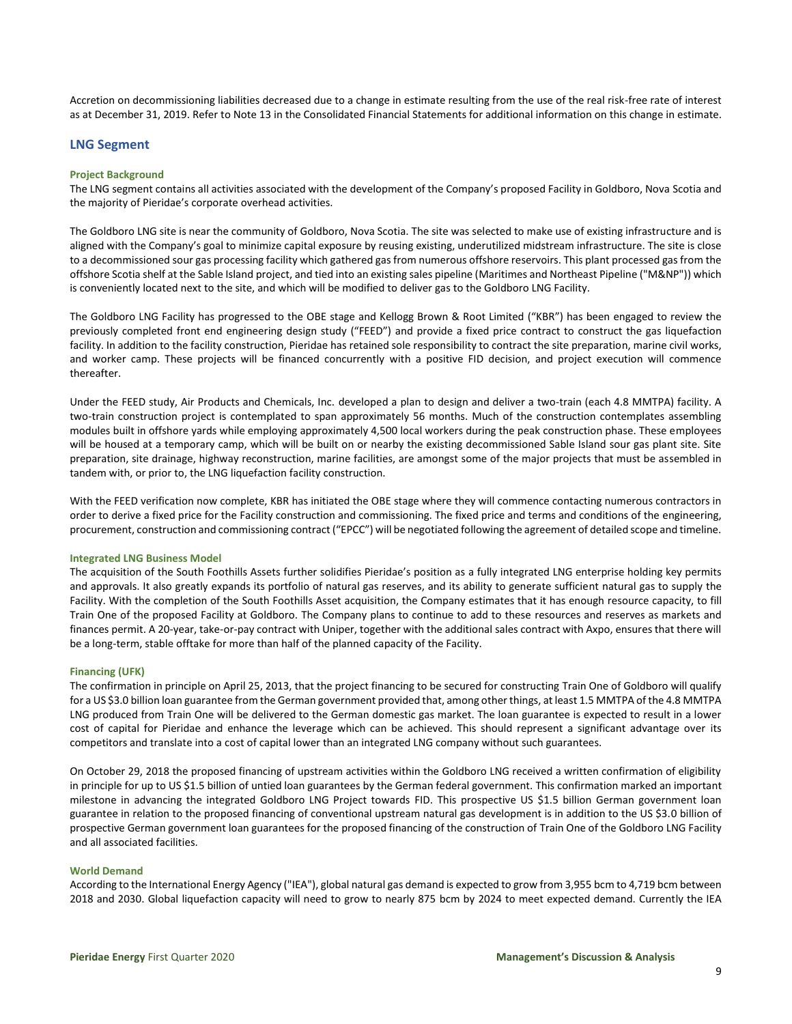Accretion on decommissioning liabilities decreased due to a change in estimate resulting from the use of the real risk-free rate of interest as at December 31, 2019. Refer to Note 13 in the Consolidated Financial Statements for additional information on this change in estimate.

## **LNG Segment**

#### **Project Background**

The LNG segment contains all activities associated with the development of the Company's proposed Facility in Goldboro, Nova Scotia and the majority of Pieridae's corporate overhead activities.

The Goldboro LNG site is near the community of Goldboro, Nova Scotia. The site was selected to make use of existing infrastructure and is aligned with the Company's goal to minimize capital exposure by reusing existing, underutilized midstream infrastructure. The site is close to a decommissioned sour gas processing facility which gathered gas from numerous offshore reservoirs. This plant processed gas from the offshore Scotia shelf at the Sable Island project, and tied into an existing sales pipeline (Maritimes and Northeast Pipeline ("M&NP")) which is conveniently located next to the site, and which will be modified to deliver gas to the Goldboro LNG Facility.

The Goldboro LNG Facility has progressed to the OBE stage and Kellogg Brown & Root Limited ("KBR") has been engaged to review the previously completed front end engineering design study ("FEED") and provide a fixed price contract to construct the gas liquefaction facility. In addition to the facility construction, Pieridae has retained sole responsibility to contract the site preparation, marine civil works, and worker camp. These projects will be financed concurrently with a positive FID decision, and project execution will commence thereafter.

Under the FEED study, Air Products and Chemicals, Inc. developed a plan to design and deliver a two-train (each 4.8 MMTPA) facility. A two-train construction project is contemplated to span approximately 56 months. Much of the construction contemplates assembling modules built in offshore yards while employing approximately 4,500 local workers during the peak construction phase. These employees will be housed at a temporary camp, which will be built on or nearby the existing decommissioned Sable Island sour gas plant site. Site preparation, site drainage, highway reconstruction, marine facilities, are amongst some of the major projects that must be assembled in tandem with, or prior to, the LNG liquefaction facility construction.

With the FEED verification now complete, KBR has initiated the OBE stage where they will commence contacting numerous contractors in order to derive a fixed price for the Facility construction and commissioning. The fixed price and terms and conditions of the engineering, procurement, construction and commissioning contract ("EPCC") will be negotiated following the agreement of detailed scope and timeline.

#### **Integrated LNG Business Model**

The acquisition of the South Foothills Assets further solidifies Pieridae's position as a fully integrated LNG enterprise holding key permits and approvals. It also greatly expands its portfolio of natural gas reserves, and its ability to generate sufficient natural gas to supply the Facility. With the completion of the South Foothills Asset acquisition, the Company estimates that it has enough resource capacity, to fill Train One of the proposed Facility at Goldboro. The Company plans to continue to add to these resources and reserves as markets and finances permit. A 20-year, take-or-pay contract with Uniper, together with the additional sales contract with Axpo, ensures that there will be a long-term, stable offtake for more than half of the planned capacity of the Facility.

#### **Financing (UFK)**

The confirmation in principle on April 25, 2013, that the project financing to be secured for constructing Train One of Goldboro will qualify for a US \$3.0 billion loan guarantee from the German government provided that, among other things, at least 1.5 MMTPA of the 4.8 MMTPA LNG produced from Train One will be delivered to the German domestic gas market. The loan guarantee is expected to result in a lower cost of capital for Pieridae and enhance the leverage which can be achieved. This should represent a significant advantage over its competitors and translate into a cost of capital lower than an integrated LNG company without such guarantees.

On October 29, 2018 the proposed financing of upstream activities within the Goldboro LNG received a written confirmation of eligibility in principle for up to US \$1.5 billion of untied loan guarantees by the German federal government. This confirmation marked an important milestone in advancing the integrated Goldboro LNG Project towards FID. This prospective US \$1.5 billion German government loan guarantee in relation to the proposed financing of conventional upstream natural gas development is in addition to the US \$3.0 billion of prospective German government loan guarantees for the proposed financing of the construction of Train One of the Goldboro LNG Facility and all associated facilities.

#### **World Demand**

According to the International Energy Agency ("IEA"), global natural gas demand is expected to grow from 3,955 bcm to 4,719 bcm between 2018 and 2030. Global liquefaction capacity will need to grow to nearly 875 bcm by 2024 to meet expected demand. Currently the IEA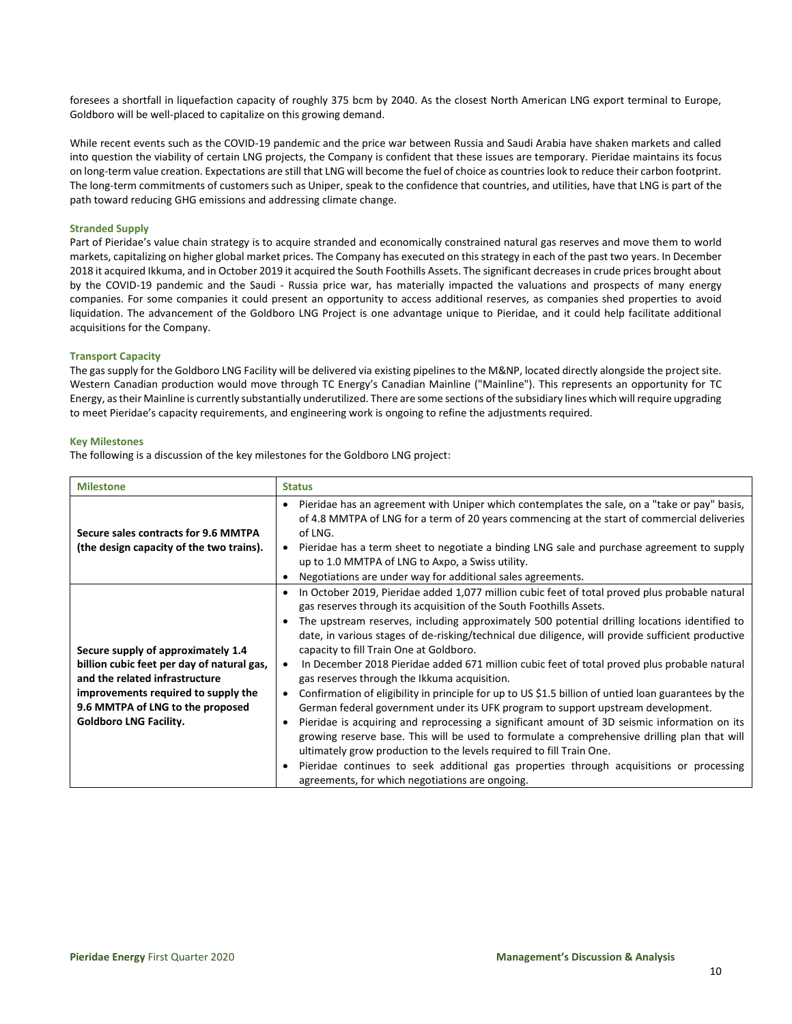foresees a shortfall in liquefaction capacity of roughly 375 bcm by 2040. As the closest North American LNG export terminal to Europe, Goldboro will be well-placed to capitalize on this growing demand.

While recent events such as the COVID-19 pandemic and the price war between Russia and Saudi Arabia have shaken markets and called into question the viability of certain LNG projects, the Company is confident that these issues are temporary. Pieridae maintains its focus on long-term value creation. Expectations are still that LNG will become the fuel of choice as countries look to reduce their carbon footprint. The long-term commitments of customers such as Uniper, speak to the confidence that countries, and utilities, have that LNG is part of the path toward reducing GHG emissions and addressing climate change.

### **Stranded Supply**

Part of Pieridae's value chain strategy is to acquire stranded and economically constrained natural gas reserves and move them to world markets, capitalizing on higher global market prices. The Company has executed on this strategy in each of the past two years. In December 2018 it acquired Ikkuma, and in October 2019 it acquired the South Foothills Assets. The significant decreases in crude prices brought about by the COVID-19 pandemic and the Saudi - Russia price war, has materially impacted the valuations and prospects of many energy companies. For some companies it could present an opportunity to access additional reserves, as companies shed properties to avoid liquidation. The advancement of the Goldboro LNG Project is one advantage unique to Pieridae, and it could help facilitate additional acquisitions for the Company.

#### **Transport Capacity**

The gas supply for the Goldboro LNG Facility will be delivered via existing pipelines to the M&NP, located directly alongside the project site. Western Canadian production would move through TC Energy's Canadian Mainline ("Mainline"). This represents an opportunity for TC Energy, as their Mainline is currently substantially underutilized. There are some sections of the subsidiary lines which will require upgrading to meet Pieridae's capacity requirements, and engineering work is ongoing to refine the adjustments required.

#### **Key Milestones**

The following is a discussion of the key milestones for the Goldboro LNG project:

| <b>Milestone</b>                                                                                                                                                                                                               | <b>Status</b>                                                                                                                                                                                                                                                                                                                                                                                                                                                                                                                                                                                                                                                                                                                                                                                                                                                                                                                                                                                                                                                                                                                                                                                                                                     |
|--------------------------------------------------------------------------------------------------------------------------------------------------------------------------------------------------------------------------------|---------------------------------------------------------------------------------------------------------------------------------------------------------------------------------------------------------------------------------------------------------------------------------------------------------------------------------------------------------------------------------------------------------------------------------------------------------------------------------------------------------------------------------------------------------------------------------------------------------------------------------------------------------------------------------------------------------------------------------------------------------------------------------------------------------------------------------------------------------------------------------------------------------------------------------------------------------------------------------------------------------------------------------------------------------------------------------------------------------------------------------------------------------------------------------------------------------------------------------------------------|
| Secure sales contracts for 9.6 MMTPA<br>(the design capacity of the two trains).                                                                                                                                               | Pieridae has an agreement with Uniper which contemplates the sale, on a "take or pay" basis,<br>$\bullet$<br>of 4.8 MMTPA of LNG for a term of 20 years commencing at the start of commercial deliveries<br>of LNG.<br>Pieridae has a term sheet to negotiate a binding LNG sale and purchase agreement to supply<br>up to 1.0 MMTPA of LNG to Axpo, a Swiss utility.<br>Negotiations are under way for additional sales agreements.                                                                                                                                                                                                                                                                                                                                                                                                                                                                                                                                                                                                                                                                                                                                                                                                              |
| Secure supply of approximately 1.4<br>billion cubic feet per day of natural gas,<br>and the related infrastructure<br>improvements required to supply the<br>9.6 MMTPA of LNG to the proposed<br><b>Goldboro LNG Facility.</b> | In October 2019, Pieridae added 1,077 million cubic feet of total proved plus probable natural<br>$\bullet$<br>gas reserves through its acquisition of the South Foothills Assets.<br>The upstream reserves, including approximately 500 potential drilling locations identified to<br>$\bullet$<br>date, in various stages of de-risking/technical due diligence, will provide sufficient productive<br>capacity to fill Train One at Goldboro.<br>In December 2018 Pieridae added 671 million cubic feet of total proved plus probable natural<br>gas reserves through the Ikkuma acquisition.<br>Confirmation of eligibility in principle for up to US \$1.5 billion of untied loan guarantees by the<br>$\bullet$<br>German federal government under its UFK program to support upstream development.<br>Pieridae is acquiring and reprocessing a significant amount of 3D seismic information on its<br>$\bullet$<br>growing reserve base. This will be used to formulate a comprehensive drilling plan that will<br>ultimately grow production to the levels required to fill Train One.<br>Pieridae continues to seek additional gas properties through acquisitions or processing<br>٠<br>agreements, for which negotiations are ongoing. |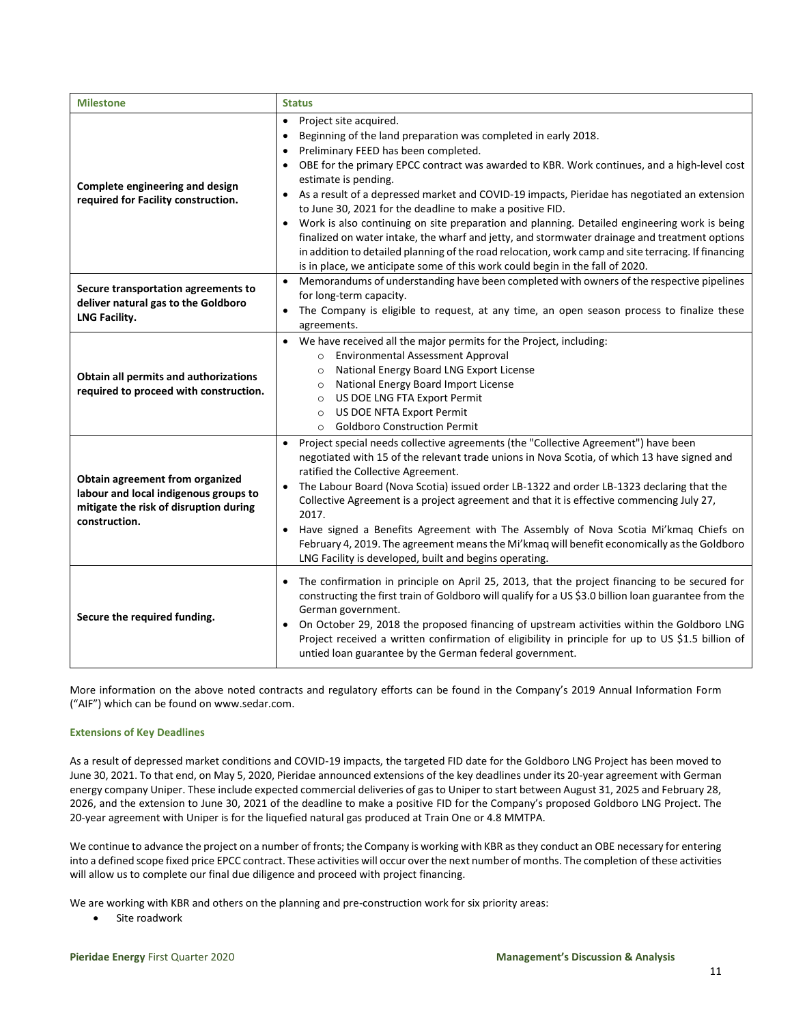| <b>Milestone</b>                                                                                                                    | <b>Status</b>                                                                                                                                                                                                                                                                                                                                                                                                                                                                                                                                                                                                                                                                                                                                                                                                                                                                  |
|-------------------------------------------------------------------------------------------------------------------------------------|--------------------------------------------------------------------------------------------------------------------------------------------------------------------------------------------------------------------------------------------------------------------------------------------------------------------------------------------------------------------------------------------------------------------------------------------------------------------------------------------------------------------------------------------------------------------------------------------------------------------------------------------------------------------------------------------------------------------------------------------------------------------------------------------------------------------------------------------------------------------------------|
| Complete engineering and design<br>required for Facility construction.                                                              | Project site acquired.<br>$\bullet$<br>Beginning of the land preparation was completed in early 2018.<br>$\bullet$<br>Preliminary FEED has been completed.<br>$\bullet$<br>OBE for the primary EPCC contract was awarded to KBR. Work continues, and a high-level cost<br>$\bullet$<br>estimate is pending.<br>As a result of a depressed market and COVID-19 impacts, Pieridae has negotiated an extension<br>$\bullet$<br>to June 30, 2021 for the deadline to make a positive FID.<br>Work is also continuing on site preparation and planning. Detailed engineering work is being<br>finalized on water intake, the wharf and jetty, and stormwater drainage and treatment options<br>in addition to detailed planning of the road relocation, work camp and site terracing. If financing<br>is in place, we anticipate some of this work could begin in the fall of 2020. |
| Secure transportation agreements to<br>deliver natural gas to the Goldboro<br>LNG Facility.                                         | Memorandums of understanding have been completed with owners of the respective pipelines<br>$\bullet$<br>for long-term capacity.<br>The Company is eligible to request, at any time, an open season process to finalize these<br>agreements.                                                                                                                                                                                                                                                                                                                                                                                                                                                                                                                                                                                                                                   |
| Obtain all permits and authorizations<br>required to proceed with construction.                                                     | We have received all the major permits for the Project, including:<br>$\bullet$<br><b>Environmental Assessment Approval</b><br>$\circ$<br>National Energy Board LNG Export License<br>$\circ$<br>National Energy Board Import License<br>$\circ$<br>US DOE LNG FTA Export Permit<br>$\circ$<br>US DOE NFTA Export Permit<br>$\circ$<br><b>Goldboro Construction Permit</b><br>$\circ$                                                                                                                                                                                                                                                                                                                                                                                                                                                                                          |
| Obtain agreement from organized<br>labour and local indigenous groups to<br>mitigate the risk of disruption during<br>construction. | Project special needs collective agreements (the "Collective Agreement") have been<br>$\bullet$<br>negotiated with 15 of the relevant trade unions in Nova Scotia, of which 13 have signed and<br>ratified the Collective Agreement.<br>The Labour Board (Nova Scotia) issued order LB-1322 and order LB-1323 declaring that the<br>Collective Agreement is a project agreement and that it is effective commencing July 27,<br>2017.<br>Have signed a Benefits Agreement with The Assembly of Nova Scotia Mi'kmaq Chiefs on<br>$\bullet$<br>February 4, 2019. The agreement means the Mi'kmaq will benefit economically as the Goldboro<br>LNG Facility is developed, built and begins operating.                                                                                                                                                                             |
| Secure the required funding.                                                                                                        | The confirmation in principle on April 25, 2013, that the project financing to be secured for<br>$\bullet$<br>constructing the first train of Goldboro will qualify for a US \$3.0 billion loan guarantee from the<br>German government.<br>On October 29, 2018 the proposed financing of upstream activities within the Goldboro LNG<br>Project received a written confirmation of eligibility in principle for up to US \$1.5 billion of<br>untied loan guarantee by the German federal government.                                                                                                                                                                                                                                                                                                                                                                          |

More information on the above noted contracts and regulatory efforts can be found in the Company's 2019 Annual Information Form ("AIF") which can be found on [www.sedar.com.](http://www.sedar.com/)

### **Extensions of Key Deadlines**

As a result of depressed market conditions and COVID-19 impacts, the targeted FID date for the Goldboro LNG Project has been moved to June 30, 2021. To that end, on May 5, 2020, Pieridae announced extensions of the key deadlines under its 20-year agreement with German energy company Uniper. These include expected commercial deliveries of gas to Uniper to start between August 31, 2025 and February 28, 2026, and the extension to June 30, 2021 of the deadline to make a positive FID for the Company's proposed Goldboro LNG Project. The 20-year agreement with Uniper is for the liquefied natural gas produced at Train One or 4.8 MMTPA.

We continue to advance the project on a number of fronts; the Company is working with KBR as they conduct an OBE necessary for entering into a defined scope fixed price EPCC contract. These activities will occur over the next number of months. The completion of these activities will allow us to complete our final due diligence and proceed with project financing.

We are working with KBR and others on the planning and pre-construction work for six priority areas:

• Site roadwork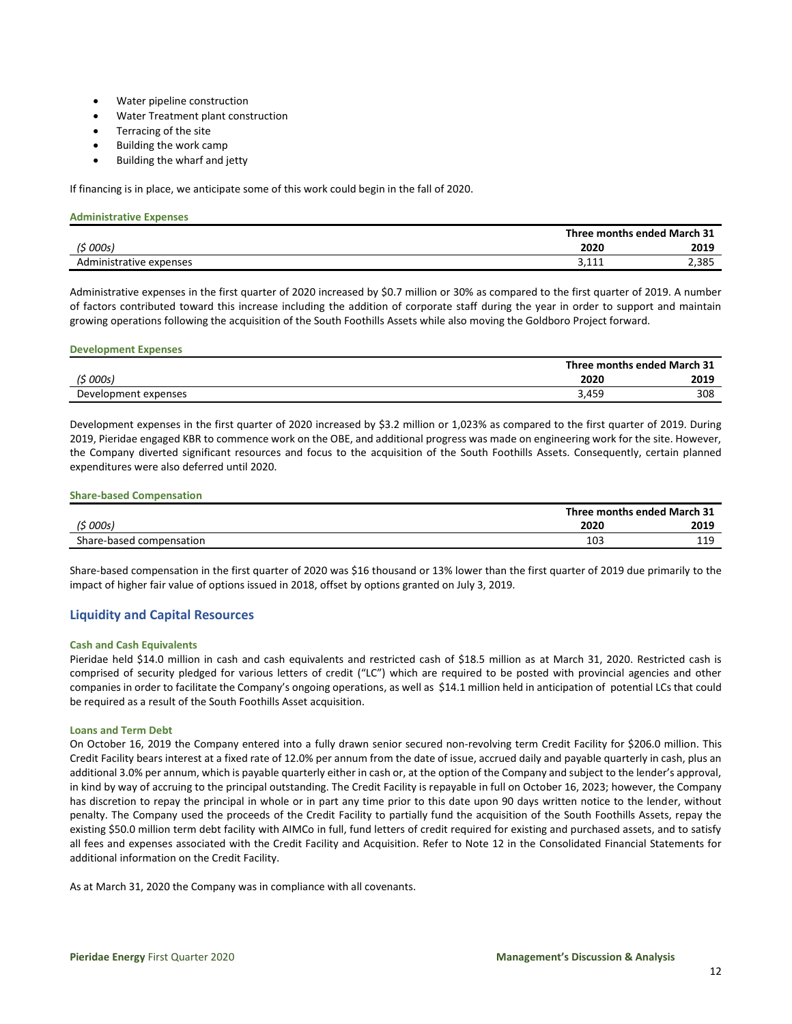- Water pipeline construction
- Water Treatment plant construction
- Terracing of the site
- Building the work camp
- Building the wharf and jetty

If financing is in place, we anticipate some of this work could begin in the fall of 2020.

| <b>Administrative Expenses</b> |                             |
|--------------------------------|-----------------------------|
|                                | Three months ended March 31 |
| (5000s)                        | 2020<br>2019                |
| Administrative expenses        | 2,385<br>3,111              |

Administrative expenses in the first quarter of 2020 increased by \$0.7 million or 30% as compared to the first quarter of 2019. A number of factors contributed toward this increase including the addition of corporate staff during the year in order to support and maintain growing operations following the acquisition of the South Foothills Assets while also moving the Goldboro Project forward.

### **Development Expenses**

|                         |       | Three months ended March 31 |
|-------------------------|-------|-----------------------------|
| ′ <sup>&lt;</sup> 000s) | 2020  | 2019                        |
| Development expenses    | 3,459 | 308                         |

Development expenses in the first quarter of 2020 increased by \$3.2 million or 1,023% as compared to the first quarter of 2019. During 2019, Pieridae engaged KBR to commence work on the OBE, and additional progress was made on engineering work for the site. However, the Company diverted significant resources and focus to the acquisition of the South Foothills Assets. Consequently, certain planned expenditures were also deferred until 2020.

### **Share-based Compensation**

|                          |      | Three months ended March 31 |
|--------------------------|------|-----------------------------|
| (\$ 000s)                | 2020 | 2019                        |
| Share-based compensation | 103  | 110<br>---                  |

Share-based compensation in the first quarter of 2020 was \$16 thousand or 13% lower than the first quarter of 2019 due primarily to the impact of higher fair value of options issued in 2018, offset by options granted on July 3, 2019.

## **Liquidity and Capital Resources**

### **Cash and Cash Equivalents**

Pieridae held \$14.0 million in cash and cash equivalents and restricted cash of \$18.5 million as at March 31, 2020. Restricted cash is comprised of security pledged for various letters of credit ("LC") which are required to be posted with provincial agencies and other companies in order to facilitate the Company's ongoing operations, as well as \$14.1 million held in anticipation of potential LCs that could be required as a result of the South Foothills Asset acquisition.

### **Loans and Term Debt**

On October 16, 2019 the Company entered into a fully drawn senior secured non-revolving term Credit Facility for \$206.0 million. This Credit Facility bears interest at a fixed rate of 12.0% per annum from the date of issue, accrued daily and payable quarterly in cash, plus an additional 3.0% per annum, which is payable quarterly either in cash or, at the option of the Company and subject to the lender's approval, in kind by way of accruing to the principal outstanding. The Credit Facility is repayable in full on October 16, 2023; however, the Company has discretion to repay the principal in whole or in part any time prior to this date upon 90 days written notice to the lender, without penalty. The Company used the proceeds of the Credit Facility to partially fund the acquisition of the South Foothills Assets, repay the existing \$50.0 million term debt facility with AIMCo in full, fund letters of credit required for existing and purchased assets, and to satisfy all fees and expenses associated with the Credit Facility and Acquisition. Refer to Note 12 in the Consolidated Financial Statements for additional information on the Credit Facility.

As at March 31, 2020 the Company was in compliance with all covenants.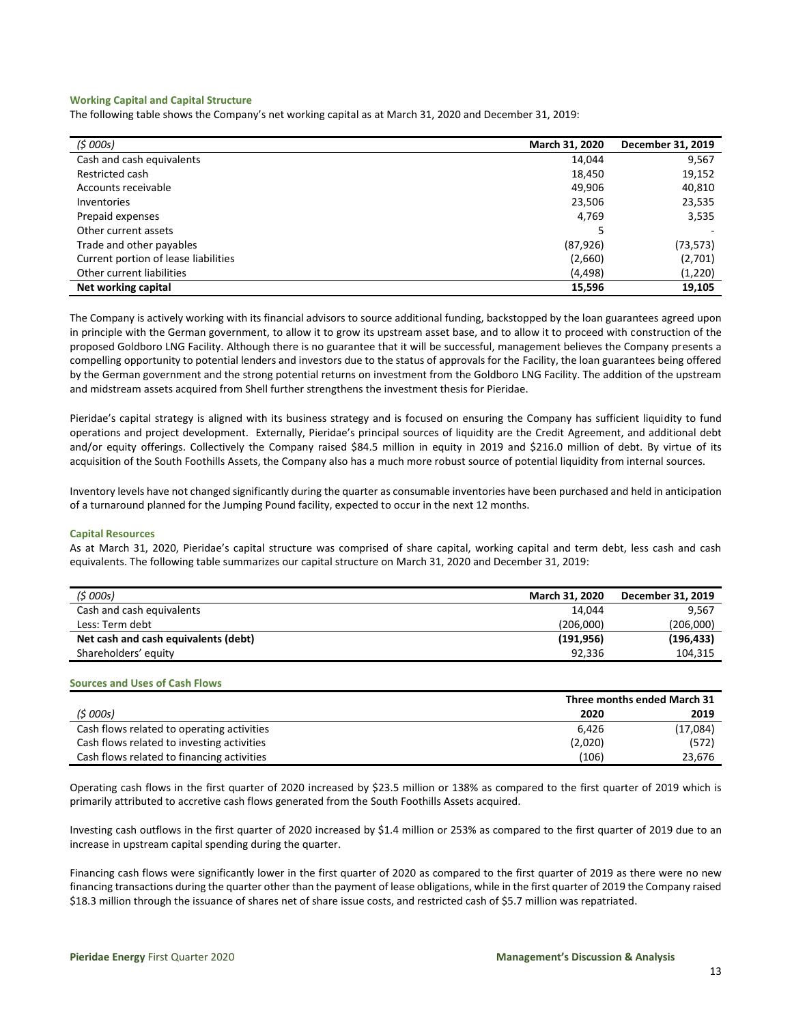#### **Working Capital and Capital Structure**

The following table shows the Company's net working capital as at March 31, 2020 and December 31, 2019:

| (5000s)                              | March 31, 2020 | December 31, 2019 |
|--------------------------------------|----------------|-------------------|
| Cash and cash equivalents            | 14,044         | 9,567             |
| Restricted cash                      | 18,450         | 19,152            |
| Accounts receivable                  | 49.906         | 40,810            |
| Inventories                          | 23,506         | 23,535            |
| Prepaid expenses                     | 4,769          | 3,535             |
| Other current assets                 |                |                   |
| Trade and other payables             | (87, 926)      | (73,573)          |
| Current portion of lease liabilities | (2,660)        | (2,701)           |
| Other current liabilities            | (4, 498)       | (1,220)           |
| Net working capital                  | 15,596         | 19,105            |

The Company is actively working with its financial advisors to source additional funding, backstopped by the loan guarantees agreed upon in principle with the German government, to allow it to grow its upstream asset base, and to allow it to proceed with construction of the proposed Goldboro LNG Facility. Although there is no guarantee that it will be successful, management believes the Company presents a compelling opportunity to potential lenders and investors due to the status of approvals for the Facility, the loan guarantees being offered by the German government and the strong potential returns on investment from the Goldboro LNG Facility. The addition of the upstream and midstream assets acquired from Shell further strengthens the investment thesis for Pieridae.

Pieridae's capital strategy is aligned with its business strategy and is focused on ensuring the Company has sufficient liquidity to fund operations and project development. Externally, Pieridae's principal sources of liquidity are the Credit Agreement, and additional debt and/or equity offerings. Collectively the Company raised \$84.5 million in equity in 2019 and \$216.0 million of debt. By virtue of its acquisition of the South Foothills Assets, the Company also has a much more robust source of potential liquidity from internal sources.

Inventory levels have not changed significantly during the quarter as consumable inventories have been purchased and held in anticipation of a turnaround planned for the Jumping Pound facility, expected to occur in the next 12 months.

#### **Capital Resources**

As at March 31, 2020, Pieridae's capital structure was comprised of share capital, working capital and term debt, less cash and cash equivalents. The following table summarizes our capital structure on March 31, 2020 and December 31, 2019:

| (5000s)                              | <b>March 31, 2020</b> | December 31, 2019 |
|--------------------------------------|-----------------------|-------------------|
| Cash and cash equivalents            | 14.044                | 9.567             |
| Less: Term debt                      | (206.000)             | (206,000)         |
| Net cash and cash equivalents (debt) | (191, 956)            | (196, 433)        |
| Shareholders' equity                 | 92.336                | 104.315           |

#### **Sources and Uses of Cash Flows**

|                                            |         | Three months ended March 31 |  |  |
|--------------------------------------------|---------|-----------------------------|--|--|
| (5000s)                                    | 2020    | 2019                        |  |  |
| Cash flows related to operating activities | 6.426   | (17,084)                    |  |  |
| Cash flows related to investing activities | (2,020) | (572)                       |  |  |
| Cash flows related to financing activities | (106)   | 23.676                      |  |  |

Operating cash flows in the first quarter of 2020 increased by \$23.5 million or 138% as compared to the first quarter of 2019 which is primarily attributed to accretive cash flows generated from the South Foothills Assets acquired.

Investing cash outflows in the first quarter of 2020 increased by \$1.4 million or 253% as compared to the first quarter of 2019 due to an increase in upstream capital spending during the quarter.

Financing cash flows were significantly lower in the first quarter of 2020 as compared to the first quarter of 2019 as there were no new financing transactions during the quarter other than the payment of lease obligations, while in the first quarter of 2019 the Company raised \$18.3 million through the issuance of shares net of share issue costs, and restricted cash of \$5.7 million was repatriated.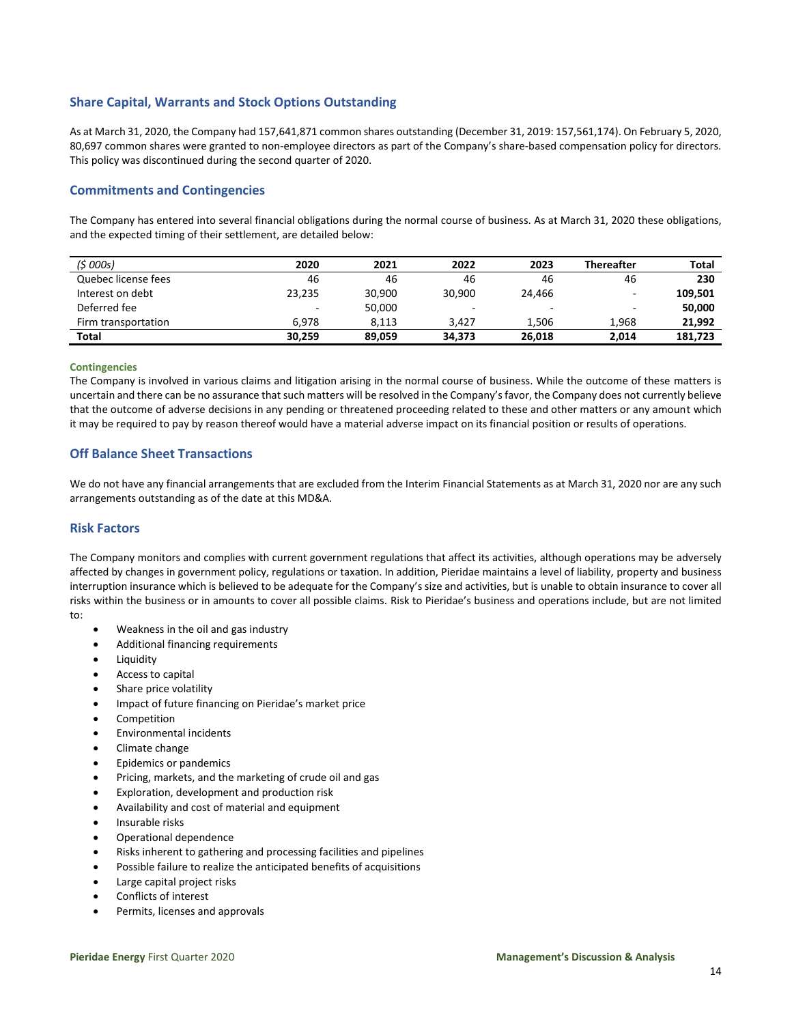## **Share Capital, Warrants and Stock Options Outstanding**

As at March 31, 2020, the Company had 157,641,871 common shares outstanding (December 31, 2019: 157,561,174). On February 5, 2020, 80,697 common shares were granted to non-employee directors as part of the Company's share-based compensation policy for directors. This policy was discontinued during the second quarter of 2020.

## **Commitments and Contingencies**

The Company has entered into several financial obligations during the normal course of business. As at March 31, 2020 these obligations, and the expected timing of their settlement, are detailed below:

| (5000s)             | 2020   | 2021   | 2022   | 2023   | <b>Thereafter</b>        | <b>Total</b> |
|---------------------|--------|--------|--------|--------|--------------------------|--------------|
| Quebec license fees | 46     | 46     | 46     | 46     | 46                       | 230          |
| Interest on debt    | 23,235 | 30.900 | 30.900 | 24.466 |                          | 109,501      |
| Deferred fee        | $\sim$ | 50,000 | $\sim$ | -      | $\overline{\phantom{a}}$ | 50,000       |
| Firm transportation | 6.978  | 8.113  | 3.427  | 1.506  | 1.968                    | 21.992       |
| <b>Total</b>        | 30,259 | 89.059 | 34,373 | 26.018 | 2.014                    | 181.723      |

#### **Contingencies**

The Company is involved in various claims and litigation arising in the normal course of business. While the outcome of these matters is uncertain and there can be no assurance that such matters will be resolved in the Company's favor, the Company does not currently believe that the outcome of adverse decisions in any pending or threatened proceeding related to these and other matters or any amount which it may be required to pay by reason thereof would have a material adverse impact on its financial position or results of operations.

## **Off Balance Sheet Transactions**

We do not have any financial arrangements that are excluded from the Interim Financial Statements as at March 31, 2020 nor are any such arrangements outstanding as of the date at this MD&A.

### **Risk Factors**

The Company monitors and complies with current government regulations that affect its activities, although operations may be adversely affected by changes in government policy, regulations or taxation. In addition, Pieridae maintains a level of liability, property and business interruption insurance which is believed to be adequate for the Company's size and activities, but is unable to obtain insurance to cover all risks within the business or in amounts to cover all possible claims. Risk to Pieridae's business and operations include, but are not limited to:

- Weakness in the oil and gas industry
- Additional financing requirements
- **Liquidity**
- Access to capital
- Share price volatility
- Impact of future financing on Pieridae's market price
- **Competition**
- Environmental incidents
- Climate change
- Epidemics or pandemics
- Pricing, markets, and the marketing of crude oil and gas
- Exploration, development and production risk
- Availability and cost of material and equipment
- Insurable risks
- Operational dependence
- Risks inherent to gathering and processing facilities and pipelines
- Possible failure to realize the anticipated benefits of acquisitions
- Large capital project risks
- Conflicts of interest
- Permits, licenses and approvals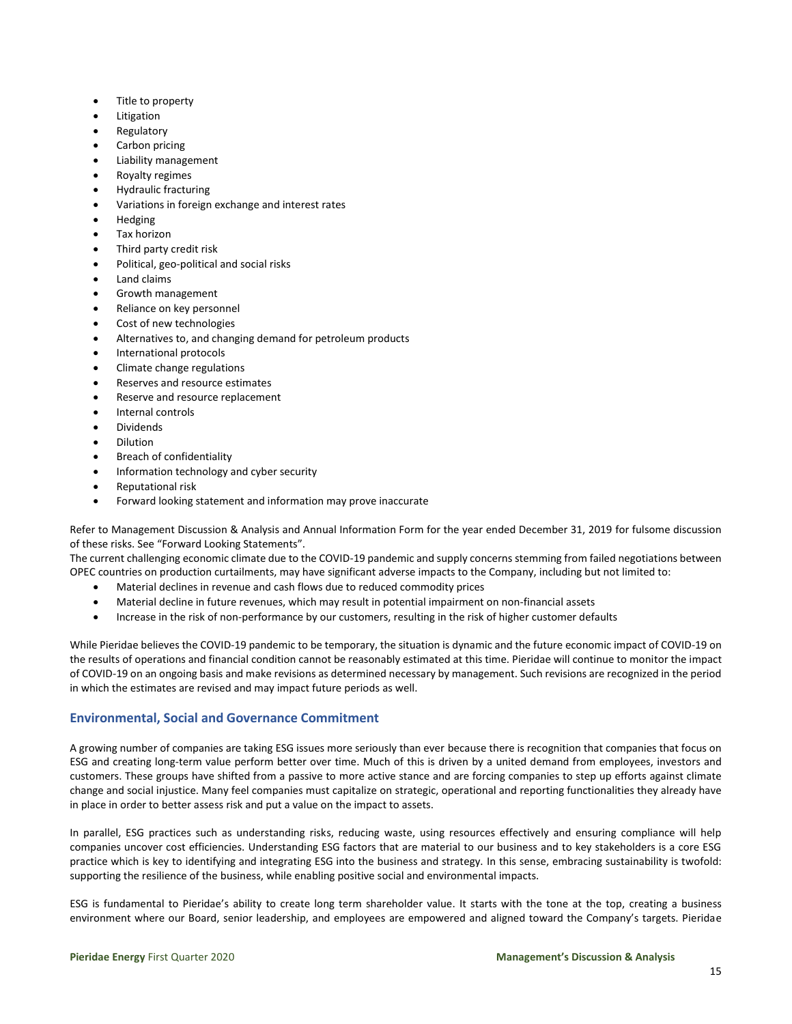- Title to property
- **Litigation**
- **Regulatory**
- Carbon pricing
- Liability management
- Royalty regimes
- Hydraulic fracturing
- Variations in foreign exchange and interest rates
- Hedging
- Tax horizon
- Third party credit risk
- Political, geo-political and social risks
- Land claims
- Growth management
- Reliance on key personnel
- Cost of new technologies
- Alternatives to, and changing demand for petroleum products
- International protocols
- Climate change regulations
- Reserves and resource estimates
- Reserve and resource replacement
- Internal controls
- **Dividends**
- Dilution
- **Breach of confidentiality**
- Information technology and cyber security
- Reputational risk
- Forward looking statement and information may prove inaccurate

Refer to Management Discussion & Analysis and Annual Information Form for the year ended December 31, 2019 for fulsome discussion of these risks. See "Forward Looking Statements".

The current challenging economic climate due to the COVID-19 pandemic and supply concerns stemming from failed negotiations between OPEC countries on production curtailments, may have significant adverse impacts to the Company, including but not limited to:

- Material declines in revenue and cash flows due to reduced commodity prices
- Material decline in future revenues, which may result in potential impairment on non-financial assets
- Increase in the risk of non-performance by our customers, resulting in the risk of higher customer defaults

While Pieridae believes the COVID-19 pandemic to be temporary, the situation is dynamic and the future economic impact of COVID-19 on the results of operations and financial condition cannot be reasonably estimated at this time. Pieridae will continue to monitor the impact of COVID-19 on an ongoing basis and make revisions as determined necessary by management. Such revisions are recognized in the period in which the estimates are revised and may impact future periods as well.

## **Environmental, Social and Governance Commitment**

A growing number of companies are taking ESG issues more seriously than ever because there is recognition that companies that focus on ESG and creating long-term value perform better over time. Much of this is driven by a united demand from employees, investors and customers. These groups have shifted from a passive to more active stance and are forcing companies to step up efforts against climate change and social injustice. Many feel companies must capitalize on strategic, operational and reporting functionalities they already have in place in order to better assess risk and put a value on the impact to assets.

In parallel, ESG practices such as understanding risks, reducing waste, using resources effectively and ensuring compliance will help companies uncover cost efficiencies. Understanding ESG factors that are material to our business and to key stakeholders is a core ESG practice which is key to identifying and integrating ESG into the business and strategy. In this sense, embracing sustainability is twofold: supporting the resilience of the business, while enabling positive social and environmental impacts.

ESG is fundamental to Pieridae's ability to create long term shareholder value. It starts with the tone at the top, creating a business environment where our Board, senior leadership, and employees are empowered and aligned toward the Company's targets. Pieridae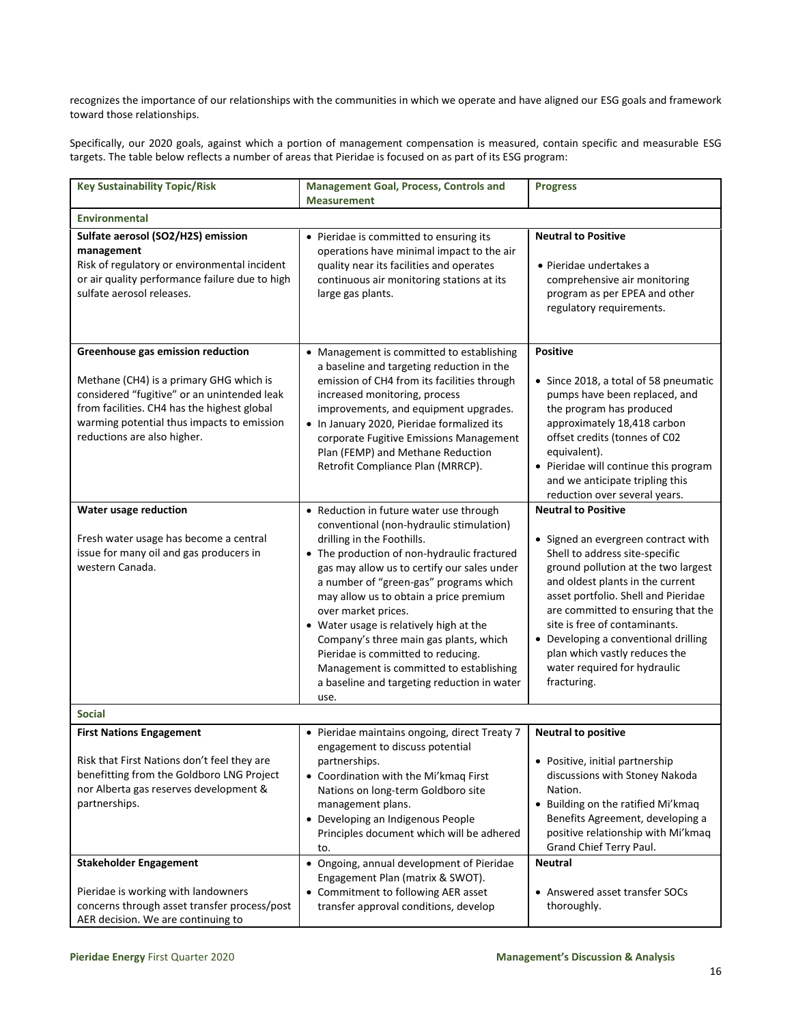recognizes the importance of our relationships with the communities in which we operate and have aligned our ESG goals and framework toward those relationships.

Specifically, our 2020 goals, against which a portion of management compensation is measured, contain specific and measurable ESG targets. The table below reflects a number of areas that Pieridae is focused on as part of its ESG program:

| <b>Key Sustainability Topic/Risk</b>                                                                                                                                                                                                                    | <b>Management Goal, Process, Controls and</b><br><b>Measurement</b>                                                                                                                                                                                                                                                                                                                                                                                                                                                                                     | <b>Progress</b>                                                                                                                                                                                                                                                                                                                                                                                                      |  |  |
|---------------------------------------------------------------------------------------------------------------------------------------------------------------------------------------------------------------------------------------------------------|---------------------------------------------------------------------------------------------------------------------------------------------------------------------------------------------------------------------------------------------------------------------------------------------------------------------------------------------------------------------------------------------------------------------------------------------------------------------------------------------------------------------------------------------------------|----------------------------------------------------------------------------------------------------------------------------------------------------------------------------------------------------------------------------------------------------------------------------------------------------------------------------------------------------------------------------------------------------------------------|--|--|
| <b>Environmental</b>                                                                                                                                                                                                                                    |                                                                                                                                                                                                                                                                                                                                                                                                                                                                                                                                                         |                                                                                                                                                                                                                                                                                                                                                                                                                      |  |  |
| Sulfate aerosol (SO2/H2S) emission<br>management<br>Risk of regulatory or environmental incident<br>or air quality performance failure due to high<br>sulfate aerosol releases.                                                                         | • Pieridae is committed to ensuring its<br>operations have minimal impact to the air<br>quality near its facilities and operates<br>continuous air monitoring stations at its<br>large gas plants.                                                                                                                                                                                                                                                                                                                                                      | <b>Neutral to Positive</b><br>• Pieridae undertakes a<br>comprehensive air monitoring<br>program as per EPEA and other<br>regulatory requirements.                                                                                                                                                                                                                                                                   |  |  |
| Greenhouse gas emission reduction<br>Methane (CH4) is a primary GHG which is<br>considered "fugitive" or an unintended leak<br>from facilities. CH4 has the highest global<br>warming potential thus impacts to emission<br>reductions are also higher. | • Management is committed to establishing<br>a baseline and targeting reduction in the<br>emission of CH4 from its facilities through<br>increased monitoring, process<br>improvements, and equipment upgrades.<br>• In January 2020, Pieridae formalized its<br>corporate Fugitive Emissions Management<br>Plan (FEMP) and Methane Reduction<br>Retrofit Compliance Plan (MRRCP).                                                                                                                                                                      | <b>Positive</b><br>• Since 2018, a total of 58 pneumatic<br>pumps have been replaced, and<br>the program has produced<br>approximately 18,418 carbon<br>offset credits (tonnes of C02<br>equivalent).<br>• Pieridae will continue this program<br>and we anticipate tripling this<br>reduction over several years.                                                                                                   |  |  |
| Water usage reduction<br>Fresh water usage has become a central<br>issue for many oil and gas producers in<br>western Canada.                                                                                                                           | • Reduction in future water use through<br>conventional (non-hydraulic stimulation)<br>drilling in the Foothills.<br>• The production of non-hydraulic fractured<br>gas may allow us to certify our sales under<br>a number of "green-gas" programs which<br>may allow us to obtain a price premium<br>over market prices.<br>• Water usage is relatively high at the<br>Company's three main gas plants, which<br>Pieridae is committed to reducing.<br>Management is committed to establishing<br>a baseline and targeting reduction in water<br>use. | <b>Neutral to Positive</b><br>• Signed an evergreen contract with<br>Shell to address site-specific<br>ground pollution at the two largest<br>and oldest plants in the current<br>asset portfolio. Shell and Pieridae<br>are committed to ensuring that the<br>site is free of contaminants.<br>• Developing a conventional drilling<br>plan which vastly reduces the<br>water required for hydraulic<br>fracturing. |  |  |
| <b>Social</b>                                                                                                                                                                                                                                           |                                                                                                                                                                                                                                                                                                                                                                                                                                                                                                                                                         |                                                                                                                                                                                                                                                                                                                                                                                                                      |  |  |
| <b>First Nations Engagement</b><br>Risk that First Nations don't feel they are<br>benefitting from the Goldboro LNG Project<br>nor Alberta gas reserves development &<br>partnerships.<br><b>Stakeholder Engagement</b>                                 | • Pieridae maintains ongoing, direct Treaty 7<br>engagement to discuss potential<br>partnerships.<br>• Coordination with the Mi'kmaq First<br>Nations on long-term Goldboro site<br>management plans.<br>• Developing an Indigenous People<br>Principles document which will be adhered<br>to.<br>• Ongoing, annual development of Pieridae                                                                                                                                                                                                             | <b>Neutral to positive</b><br>• Positive, initial partnership<br>discussions with Stoney Nakoda<br>Nation.<br>Building on the ratified Mi'kmaq<br>Benefits Agreement, developing a<br>positive relationship with Mi'kmaq<br>Grand Chief Terry Paul.<br>Neutral                                                                                                                                                       |  |  |
| Pieridae is working with landowners<br>concerns through asset transfer process/post<br>AER decision. We are continuing to                                                                                                                               | Engagement Plan (matrix & SWOT).<br>• Commitment to following AER asset<br>transfer approval conditions, develop                                                                                                                                                                                                                                                                                                                                                                                                                                        | • Answered asset transfer SOCs<br>thoroughly.                                                                                                                                                                                                                                                                                                                                                                        |  |  |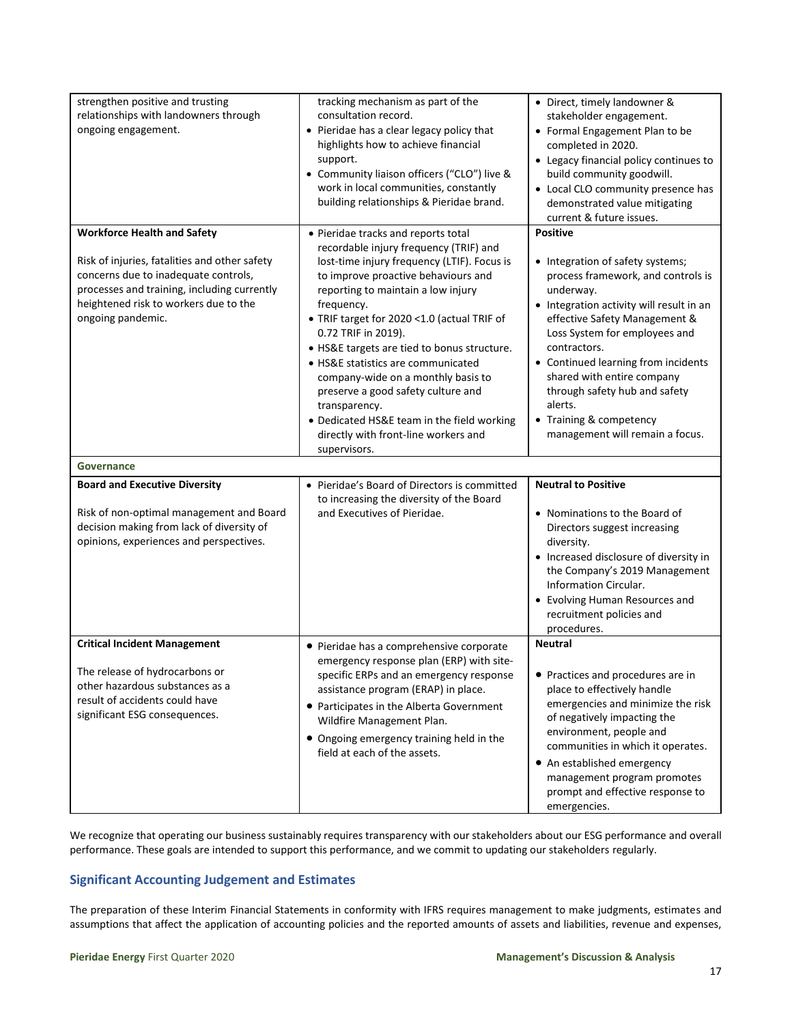| strengthen positive and trusting<br>relationships with landowners through<br>ongoing engagement.                                                                                                                                         | tracking mechanism as part of the<br>consultation record.<br>• Pieridae has a clear legacy policy that<br>highlights how to achieve financial<br>support.<br>• Community liaison officers ("CLO") live &<br>work in local communities, constantly<br>building relationships & Pieridae brand.                                                                                                                                                                                                                                                                                         | • Direct, timely landowner &<br>stakeholder engagement.<br>• Formal Engagement Plan to be<br>completed in 2020.<br>• Legacy financial policy continues to<br>build community goodwill.<br>• Local CLO community presence has<br>demonstrated value mitigating<br>current & future issues.                                                                                                                         |
|------------------------------------------------------------------------------------------------------------------------------------------------------------------------------------------------------------------------------------------|---------------------------------------------------------------------------------------------------------------------------------------------------------------------------------------------------------------------------------------------------------------------------------------------------------------------------------------------------------------------------------------------------------------------------------------------------------------------------------------------------------------------------------------------------------------------------------------|-------------------------------------------------------------------------------------------------------------------------------------------------------------------------------------------------------------------------------------------------------------------------------------------------------------------------------------------------------------------------------------------------------------------|
| <b>Workforce Health and Safety</b><br>Risk of injuries, fatalities and other safety<br>concerns due to inadequate controls,<br>processes and training, including currently<br>heightened risk to workers due to the<br>ongoing pandemic. | • Pieridae tracks and reports total<br>recordable injury frequency (TRIF) and<br>lost-time injury frequency (LTIF). Focus is<br>to improve proactive behaviours and<br>reporting to maintain a low injury<br>frequency.<br>• TRIF target for 2020 <1.0 (actual TRIF of<br>0.72 TRIF in 2019).<br>• HS&E targets are tied to bonus structure.<br>• HS&E statistics are communicated<br>company-wide on a monthly basis to<br>preserve a good safety culture and<br>transparency.<br>• Dedicated HS&E team in the field working<br>directly with front-line workers and<br>supervisors. | <b>Positive</b><br>• Integration of safety systems;<br>process framework, and controls is<br>underway.<br>• Integration activity will result in an<br>effective Safety Management &<br>Loss System for employees and<br>contractors.<br>Continued learning from incidents<br>shared with entire company<br>through safety hub and safety<br>alerts.<br>• Training & competency<br>management will remain a focus. |
| Governance                                                                                                                                                                                                                               |                                                                                                                                                                                                                                                                                                                                                                                                                                                                                                                                                                                       |                                                                                                                                                                                                                                                                                                                                                                                                                   |
| <b>Board and Executive Diversity</b><br>Risk of non-optimal management and Board<br>decision making from lack of diversity of<br>opinions, experiences and perspectives.                                                                 | • Pieridae's Board of Directors is committed<br>to increasing the diversity of the Board<br>and Executives of Pieridae.                                                                                                                                                                                                                                                                                                                                                                                                                                                               | <b>Neutral to Positive</b><br>• Nominations to the Board of<br>Directors suggest increasing<br>diversity.<br>• Increased disclosure of diversity in<br>the Company's 2019 Management<br>Information Circular.<br>• Evolving Human Resources and<br>recruitment policies and<br>procedures.                                                                                                                        |
| <b>Critical Incident Management</b><br>The release of hydrocarbons or<br>other hazardous substances as a<br>result of accidents could have<br>significant ESG consequences.                                                              | • Pieridae has a comprehensive corporate<br>emergency response plan (ERP) with site-<br>specific ERPs and an emergency response<br>assistance program (ERAP) in place.<br>• Participates in the Alberta Government<br>Wildfire Management Plan.<br>• Ongoing emergency training held in the<br>field at each of the assets.                                                                                                                                                                                                                                                           | <b>Neutral</b><br>• Practices and procedures are in<br>place to effectively handle<br>emergencies and minimize the risk<br>of negatively impacting the<br>environment, people and<br>communities in which it operates.<br>• An established emergency<br>management program promotes<br>prompt and effective response to<br>emergencies.                                                                           |

We recognize that operating our business sustainably requires transparency with our stakeholders about our ESG performance and overall performance. These goals are intended to support this performance, and we commit to updating our stakeholders regularly.

## **Significant Accounting Judgement and Estimates**

The preparation of these Interim Financial Statements in conformity with IFRS requires management to make judgments, estimates and assumptions that affect the application of accounting policies and the reported amounts of assets and liabilities, revenue and expenses,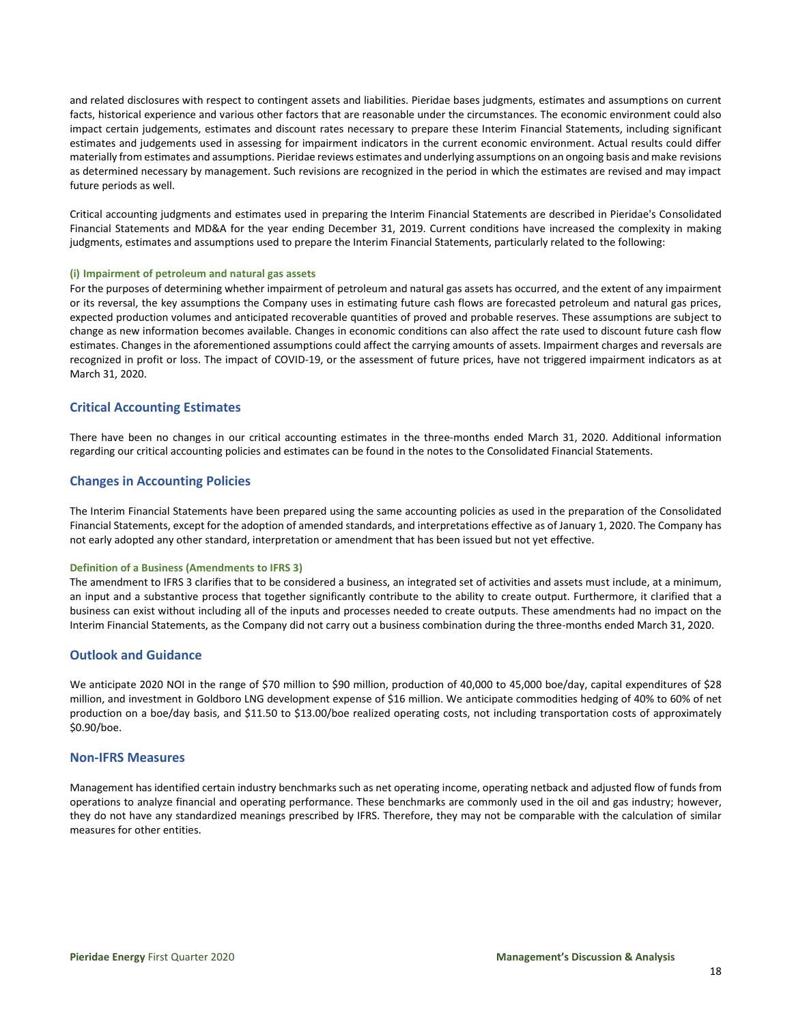and related disclosures with respect to contingent assets and liabilities. Pieridae bases judgments, estimates and assumptions on current facts, historical experience and various other factors that are reasonable under the circumstances. The economic environment could also impact certain judgements, estimates and discount rates necessary to prepare these Interim Financial Statements, including significant estimates and judgements used in assessing for impairment indicators in the current economic environment. Actual results could differ materially from estimates and assumptions. Pieridae reviews estimates and underlying assumptions on an ongoing basis and make revisions as determined necessary by management. Such revisions are recognized in the period in which the estimates are revised and may impact future periods as well.

Critical accounting judgments and estimates used in preparing the Interim Financial Statements are described in Pieridae's Consolidated Financial Statements and MD&A for the year ending December 31, 2019. Current conditions have increased the complexity in making judgments, estimates and assumptions used to prepare the Interim Financial Statements, particularly related to the following:

#### **(i) Impairment of petroleum and natural gas assets**

For the purposes of determining whether impairment of petroleum and natural gas assets has occurred, and the extent of any impairment or its reversal, the key assumptions the Company uses in estimating future cash flows are forecasted petroleum and natural gas prices, expected production volumes and anticipated recoverable quantities of proved and probable reserves. These assumptions are subject to change as new information becomes available. Changes in economic conditions can also affect the rate used to discount future cash flow estimates. Changes in the aforementioned assumptions could affect the carrying amounts of assets. Impairment charges and reversals are recognized in profit or loss. The impact of COVID-19, or the assessment of future prices, have not triggered impairment indicators as at March 31, 2020.

## **Critical Accounting Estimates**

There have been no changes in our critical accounting estimates in the three-months ended March 31, 2020. Additional information regarding our critical accounting policies and estimates can be found in the notes to the Consolidated Financial Statements.

## **Changes in Accounting Policies**

The Interim Financial Statements have been prepared using the same accounting policies as used in the preparation of the Consolidated Financial Statements, except for the adoption of amended standards, and interpretations effective as of January 1, 2020. The Company has not early adopted any other standard, interpretation or amendment that has been issued but not yet effective.

#### **Definition of a Business (Amendments to IFRS 3)**

The amendment to IFRS 3 clarifies that to be considered a business, an integrated set of activities and assets must include, at a minimum, an input and a substantive process that together significantly contribute to the ability to create output. Furthermore, it clarified that a business can exist without including all of the inputs and processes needed to create outputs. These amendments had no impact on the Interim Financial Statements, as the Company did not carry out a business combination during the three-months ended March 31, 2020.

### **Outlook and Guidance**

We anticipate 2020 NOI in the range of \$70 million to \$90 million, production of 40,000 to 45,000 boe/day, capital expenditures of \$28 million, and investment in Goldboro LNG development expense of \$16 million. We anticipate commodities hedging of 40% to 60% of net production on a boe/day basis, and \$11.50 to \$13.00/boe realized operating costs, not including transportation costs of approximately \$0.90/boe.

#### **Non-IFRS Measures**

Management has identified certain industry benchmarks such as net operating income, operating netback and adjusted flow of funds from operations to analyze financial and operating performance. These benchmarks are commonly used in the oil and gas industry; however, they do not have any standardized meanings prescribed by IFRS. Therefore, they may not be comparable with the calculation of similar measures for other entities.